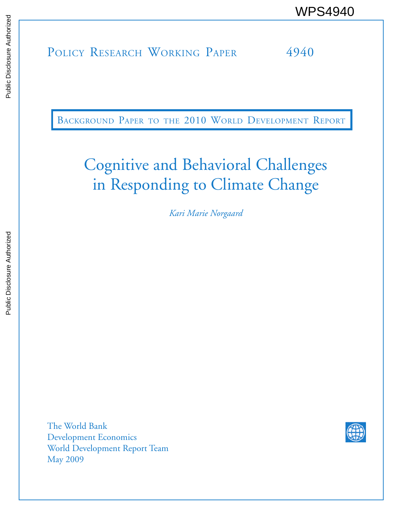POLICY RESEARCH WORKING PAPER 4940 WPS4940<br>
MESEARCH WORKING PAPER<br>
SALL DOLICY RESEARCH WORKING PAPER<br>
SALL DOLING PAPER<br>
SALL DOLING PAPER

BACKGROUND PAPER TO THE 2010 WORLD DEVELOPMENT REPORT

# Cognitive and Behavioral Challenges in Responding to Climate Change

*Kari Marie Norgaard*

The World Bank Development Economics World Development Report Team May 2009

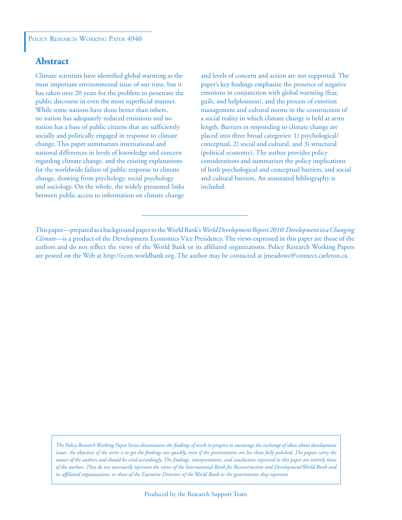## **Abstract**

Climate scientists have identified global warming as the most important environmental issue of our time, but it has taken over 20 years for the problem to penetrate the public discourse in even the most superficial manner. While some nations have done better than others, no nation has adequately reduced emissions and no nation has a base of public citizens that are sufficiently socially and politically engaged in response to climate change. This paper summarizes international and national differences in levels of knowledge and concern regarding climate change, and the existing explanations for the worldwide failure of public response to climate change, drawing from psychology, social psychology and sociology. On the whole, the widely presumed links between public access to information on climate change

and levels of concern and action are not supported. The paper's key findings emphasize the presence of negative emotions in conjunction with global warming (fear, guilt, and helplessness), and the process of emotion management and cultural norms in the construction of a social reality in which climate change is held at arms length. Barriers in responding to climate change are placed into three broad categories: 1) psychological/ conceptual, 2) social and cultural, and 3) structural (political economy). The author provides policy considerations and summarizes the policy implications of both psychological and conceptual barriers, and social and cultural barriers. An annotated bibliography is included.

This paper—prepared as a background paper to the World Bank's *World Development Report 2010: Development in a Changing Climate*—is a product of the Development Economics Vice Presidency. The views expressed in this paper are those of the authors and do not reflect the views of the World Bank or its affiliated organizations. Policy Research Working Papers are posted on the Web at http://econ.worldbank.org. The author may be contacted at jmeadowc@connect.carleton.ca.

*The Policy Research Working Paper Series disseminates the findings of work in progress to encourage the exchange of ideas about development*  issues. An objective of the series is to get the findings out quickly, even if the presentations are less than fully polished. The papers carry the *names of the authors and should be cited accordingly. The findings, interpretations, and conclusions expressed in this paper are entirely those of the authors. They do not necessarily represent the views of the International Bank for Reconstruction and Development/World Bank and its affiliated organizations, or those of the Executive Directors of the World Bank or the governments they represent.*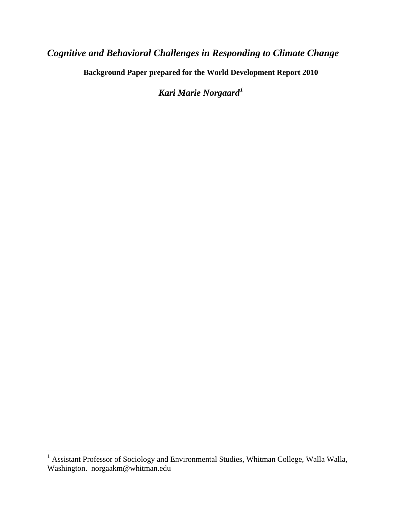# *Cognitive and Behavioral Challenges in Responding to Climate Change*

**Background Paper prepared for the World Development Report 2010** 

*Kari Marie Norgaard[1](#page-2-0)*

<span id="page-2-0"></span><sup>&</sup>lt;sup>1</sup> Assistant Professor of Sociology and Environmental Studies, Whitman College, Walla Walla, Washington. norgaakm@whitman.edu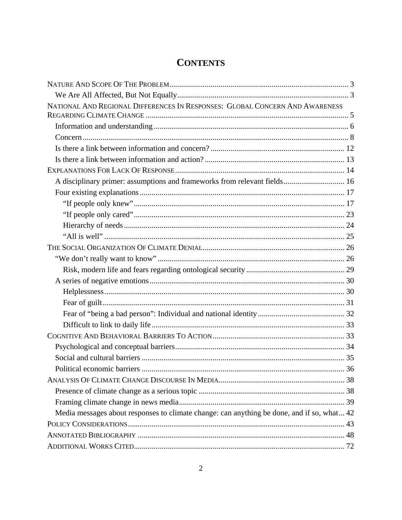# **CONTENTS**

| NATIONAL AND REGIONAL DIFFERENCES IN RESPONSES: GLOBAL CONCERN AND AWARENESS               |  |
|--------------------------------------------------------------------------------------------|--|
|                                                                                            |  |
|                                                                                            |  |
|                                                                                            |  |
|                                                                                            |  |
|                                                                                            |  |
|                                                                                            |  |
| A disciplinary primer: assumptions and frameworks from relevant fields 16                  |  |
|                                                                                            |  |
|                                                                                            |  |
|                                                                                            |  |
|                                                                                            |  |
|                                                                                            |  |
|                                                                                            |  |
|                                                                                            |  |
|                                                                                            |  |
|                                                                                            |  |
|                                                                                            |  |
|                                                                                            |  |
|                                                                                            |  |
|                                                                                            |  |
|                                                                                            |  |
|                                                                                            |  |
|                                                                                            |  |
|                                                                                            |  |
|                                                                                            |  |
|                                                                                            |  |
|                                                                                            |  |
| Media messages about responses to climate change: can anything be done, and if so, what 42 |  |
|                                                                                            |  |
|                                                                                            |  |
|                                                                                            |  |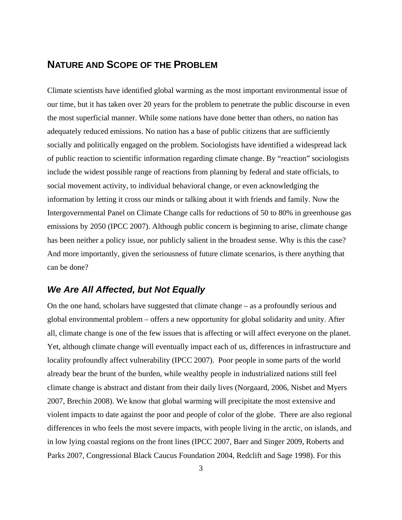## <span id="page-4-0"></span>**NATURE AND SCOPE OF THE PROBLEM**

Climate scientists have identified global warming as the most important environmental issue of our time, but it has taken over 20 years for the problem to penetrate the public discourse in even the most superficial manner. While some nations have done better than others, no nation has adequately reduced emissions. No nation has a base of public citizens that are sufficiently socially and politically engaged on the problem. Sociologists have identified a widespread lack of public reaction to scientific information regarding climate change. By "reaction" sociologists include the widest possible range of reactions from planning by federal and state officials, to social movement activity, to individual behavioral change, or even acknowledging the information by letting it cross our minds or talking about it with friends and family. Now the Intergovernmental Panel on Climate Change calls for reductions of 50 to 80% in greenhouse gas emissions by 2050 (IPCC 2007). Although public concern is beginning to arise, climate change has been neither a policy issue, nor publicly salient in the broadest sense. Why is this the case? And more importantly, given the seriousness of future climate scenarios, is there anything that can be done?

## <span id="page-4-1"></span>*We Are All Affected, but Not Equally*

On the one hand, scholars have suggested that climate change – as a profoundly serious and global environmental problem – offers a new opportunity for global solidarity and unity. After all, climate change is one of the few issues that is affecting or will affect everyone on the planet. Yet, although climate change will eventually impact each of us, differences in infrastructure and locality profoundly affect vulnerability (IPCC 2007). Poor people in some parts of the world already bear the brunt of the burden, while wealthy people in industrialized nations still feel climate change is abstract and distant from their daily lives (Norgaard, 2006, Nisbet and Myers 2007, Brechin 2008). We know that global warming will precipitate the most extensive and violent impacts to date against the poor and people of color of the globe. There are also regional differences in who feels the most severe impacts, with people living in the arctic, on islands, and in low lying coastal regions on the front lines (IPCC 2007, Baer and Singer 2009, Roberts and Parks 2007, Congressional Black Caucus Foundation 2004, Redclift and Sage 1998). For this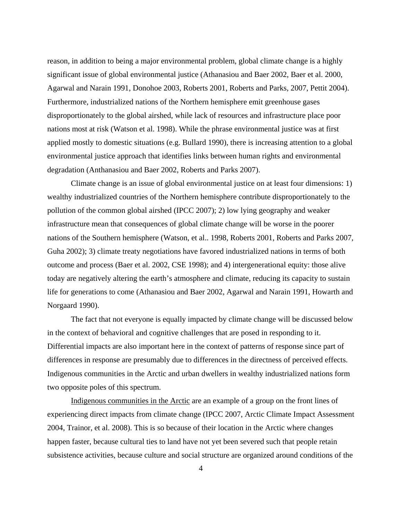reason, in addition to being a major environmental problem, global climate change is a highly significant issue of global environmental justice (Athanasiou and Baer 2002, Baer et al. 2000, Agarwal and Narain 1991, Donohoe 2003, Roberts 2001, Roberts and Parks, 2007, Pettit 2004). Furthermore, industrialized nations of the Northern hemisphere emit greenhouse gases disproportionately to the global airshed, while lack of resources and infrastructure place poor nations most at risk (Watson et al. 1998). While the phrase environmental justice was at first applied mostly to domestic situations (e.g. Bullard 1990), there is increasing attention to a global environmental justice approach that identifies links between human rights and environmental degradation (Anthanasiou and Baer 2002, Roberts and Parks 2007).

 Climate change is an issue of global environmental justice on at least four dimensions: 1) wealthy industrialized countries of the Northern hemisphere contribute disproportionately to the pollution of the common global airshed (IPCC 2007); 2) low lying geography and weaker infrastructure mean that consequences of global climate change will be worse in the poorer nations of the Southern hemisphere (Watson, et al.. 1998, Roberts 2001, Roberts and Parks 2007, Guha 2002); 3) climate treaty negotiations have favored industrialized nations in terms of both outcome and process (Baer et al. 2002, CSE 1998); and 4) intergenerational equity: those alive today are negatively altering the earth's atmosphere and climate, reducing its capacity to sustain life for generations to come (Athanasiou and Baer 2002, Agarwal and Narain 1991, Howarth and Norgaard 1990).

 The fact that not everyone is equally impacted by climate change will be discussed below in the context of behavioral and cognitive challenges that are posed in responding to it. Differential impacts are also important here in the context of patterns of response since part of differences in response are presumably due to differences in the directness of perceived effects. Indigenous communities in the Arctic and urban dwellers in wealthy industrialized nations form two opposite poles of this spectrum.

 Indigenous communities in the Arctic are an example of a group on the front lines of experiencing direct impacts from climate change (IPCC 2007, Arctic Climate Impact Assessment 2004, Trainor, et al. 2008). This is so because of their location in the Arctic where changes happen faster, because cultural ties to land have not yet been severed such that people retain subsistence activities, because culture and social structure are organized around conditions of the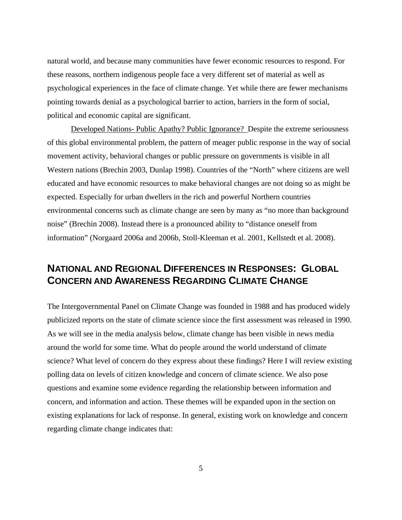natural world, and because many communities have fewer economic resources to respond. For these reasons, northern indigenous people face a very different set of material as well as psychological experiences in the face of climate change. Yet while there are fewer mechanisms pointing towards denial as a psychological barrier to action, barriers in the form of social, political and economic capital are significant.

 Developed Nations- Public Apathy? Public Ignorance? Despite the extreme seriousness of this global environmental problem, the pattern of meager public response in the way of social movement activity, behavioral changes or public pressure on governments is visible in all Western nations (Brechin 2003, Dunlap 1998). Countries of the "North" where citizens are well educated and have economic resources to make behavioral changes are not doing so as might be expected. Especially for urban dwellers in the rich and powerful Northern countries environmental concerns such as climate change are seen by many as "no more than background noise" (Brechin 2008). Instead there is a pronounced ability to "distance oneself from information" (Norgaard 2006a and 2006b, Stoll-Kleeman et al. 2001, Kellstedt et al. 2008).

# <span id="page-6-0"></span>**NATIONAL AND REGIONAL DIFFERENCES IN RESPONSES: GLOBAL CONCERN AND AWARENESS REGARDING CLIMATE CHANGE**

The Intergovernmental Panel on Climate Change was founded in 1988 and has produced widely publicized reports on the state of climate science since the first assessment was released in 1990. As we will see in the media analysis below, climate change has been visible in news media around the world for some time. What do people around the world understand of climate science? What level of concern do they express about these findings? Here I will review existing polling data on levels of citizen knowledge and concern of climate science. We also pose questions and examine some evidence regarding the relationship between information and concern, and information and action. These themes will be expanded upon in the section on existing explanations for lack of response. In general, existing work on knowledge and concern regarding climate change indicates that: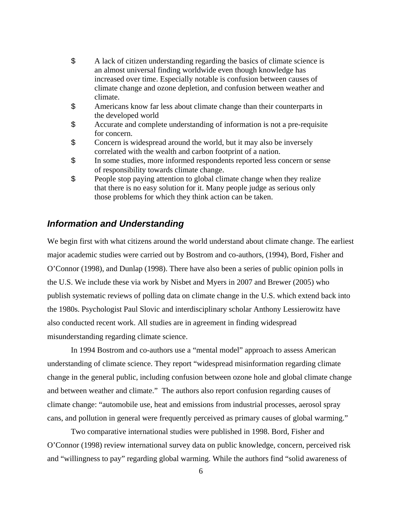- \$ A lack of citizen understanding regarding the basics of climate science is an almost universal finding worldwide even though knowledge has increased over time. Especially notable is confusion between causes of climate change and ozone depletion, and confusion between weather and climate.
- \$ Americans know far less about climate change than their counterparts in the developed world
- \$ Accurate and complete understanding of information is not a pre-requisite for concern.
- \$ Concern is widespread around the world, but it may also be inversely correlated with the wealth and carbon footprint of a nation.
- \$ In some studies, more informed respondents reported less concern or sense of responsibility towards climate change.
- \$ People stop paying attention to global climate change when they realize that there is no easy solution for it. Many people judge as serious only those problems for which they think action can be taken.

#### <span id="page-7-0"></span>*Information and Understanding*

We begin first with what citizens around the world understand about climate change. The earliest major academic studies were carried out by Bostrom and co-authors, (1994), Bord, Fisher and O'Connor (1998), and Dunlap (1998). There have also been a series of public opinion polls in the U.S. We include these via work by Nisbet and Myers in 2007 and Brewer (2005) who publish systematic reviews of polling data on climate change in the U.S. which extend back into the 1980s. Psychologist Paul Slovic and interdisciplinary scholar Anthony Lessierowitz have also conducted recent work. All studies are in agreement in finding widespread misunderstanding regarding climate science.

 In 1994 Bostrom and co-authors use a "mental model" approach to assess American understanding of climate science. They report "widespread misinformation regarding climate change in the general public, including confusion between ozone hole and global climate change and between weather and climate." The authors also report confusion regarding causes of climate change: "automobile use, heat and emissions from industrial processes, aerosol spray cans, and pollution in general were frequently perceived as primary causes of global warming."

 Two comparative international studies were published in 1998. Bord, Fisher and O'Connor (1998) review international survey data on public knowledge, concern, perceived risk and "willingness to pay" regarding global warming. While the authors find "solid awareness of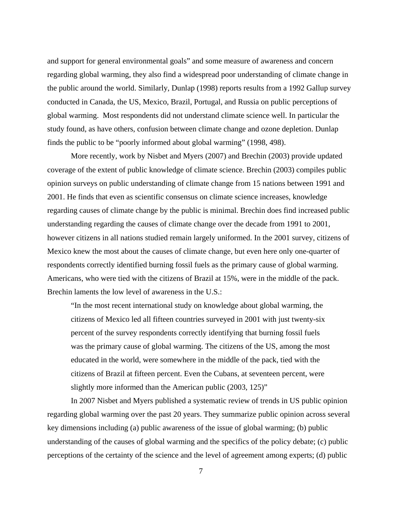and support for general environmental goals" and some measure of awareness and concern regarding global warming, they also find a widespread poor understanding of climate change in the public around the world. Similarly, Dunlap (1998) reports results from a 1992 Gallup survey conducted in Canada, the US, Mexico, Brazil, Portugal, and Russia on public perceptions of global warming. Most respondents did not understand climate science well. In particular the study found, as have others, confusion between climate change and ozone depletion. Dunlap finds the public to be "poorly informed about global warming" (1998, 498).

 More recently, work by Nisbet and Myers (2007) and Brechin (2003) provide updated coverage of the extent of public knowledge of climate science. Brechin (2003) compiles public opinion surveys on public understanding of climate change from 15 nations between 1991 and 2001. He finds that even as scientific consensus on climate science increases, knowledge regarding causes of climate change by the public is minimal. Brechin does find increased public understanding regarding the causes of climate change over the decade from 1991 to 2001, however citizens in all nations studied remain largely uniformed. In the 2001 survey, citizens of Mexico knew the most about the causes of climate change, but even here only one-quarter of respondents correctly identified burning fossil fuels as the primary cause of global warming. Americans, who were tied with the citizens of Brazil at 15%, were in the middle of the pack. Brechin laments the low level of awareness in the U.S.:

"In the most recent international study on knowledge about global warming, the citizens of Mexico led all fifteen countries surveyed in 2001 with just twenty-six percent of the survey respondents correctly identifying that burning fossil fuels was the primary cause of global warming. The citizens of the US, among the most educated in the world, were somewhere in the middle of the pack, tied with the citizens of Brazil at fifteen percent. Even the Cubans, at seventeen percent, were slightly more informed than the American public (2003, 125)"

 In 2007 Nisbet and Myers published a systematic review of trends in US public opinion regarding global warming over the past 20 years. They summarize public opinion across several key dimensions including (a) public awareness of the issue of global warming; (b) public understanding of the causes of global warming and the specifics of the policy debate; (c) public perceptions of the certainty of the science and the level of agreement among experts; (d) public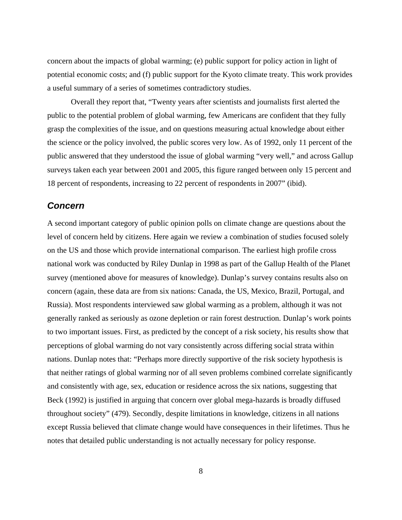concern about the impacts of global warming; (e) public support for policy action in light of potential economic costs; and (f) public support for the Kyoto climate treaty. This work provides a useful summary of a series of sometimes contradictory studies.

 Overall they report that, "Twenty years after scientists and journalists first alerted the public to the potential problem of global warming, few Americans are confident that they fully grasp the complexities of the issue, and on questions measuring actual knowledge about either the science or the policy involved, the public scores very low. As of 1992, only 11 percent of the public answered that they understood the issue of global warming "very well," and across Gallup surveys taken each year between 2001 and 2005, this figure ranged between only 15 percent and 18 percent of respondents, increasing to 22 percent of respondents in 2007" (ibid).

#### <span id="page-9-0"></span>*Concern*

A second important category of public opinion polls on climate change are questions about the level of concern held by citizens. Here again we review a combination of studies focused solely on the US and those which provide international comparison. The earliest high profile cross national work was conducted by Riley Dunlap in 1998 as part of the Gallup Health of the Planet survey (mentioned above for measures of knowledge). Dunlap's survey contains results also on concern (again, these data are from six nations: Canada, the US, Mexico, Brazil, Portugal, and Russia). Most respondents interviewed saw global warming as a problem, although it was not generally ranked as seriously as ozone depletion or rain forest destruction. Dunlap's work points to two important issues. First, as predicted by the concept of a risk society, his results show that perceptions of global warming do not vary consistently across differing social strata within nations. Dunlap notes that: "Perhaps more directly supportive of the risk society hypothesis is that neither ratings of global warming nor of all seven problems combined correlate significantly and consistently with age, sex, education or residence across the six nations, suggesting that Beck (1992) is justified in arguing that concern over global mega-hazards is broadly diffused throughout society" (479). Secondly, despite limitations in knowledge, citizens in all nations except Russia believed that climate change would have consequences in their lifetimes. Thus he notes that detailed public understanding is not actually necessary for policy response.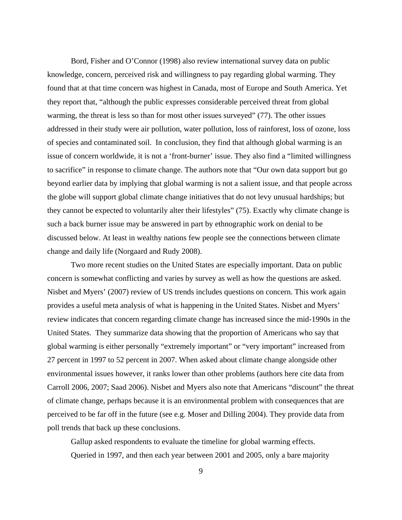Bord, Fisher and O'Connor (1998) also review international survey data on public knowledge, concern, perceived risk and willingness to pay regarding global warming. They found that at that time concern was highest in Canada, most of Europe and South America. Yet they report that, "although the public expresses considerable perceived threat from global warming, the threat is less so than for most other issues surveyed" (77). The other issues addressed in their study were air pollution, water pollution, loss of rainforest, loss of ozone, loss of species and contaminated soil. In conclusion, they find that although global warming is an issue of concern worldwide, it is not a 'front-burner' issue. They also find a "limited willingness to sacrifice" in response to climate change. The authors note that "Our own data support but go beyond earlier data by implying that global warming is not a salient issue, and that people across the globe will support global climate change initiatives that do not levy unusual hardships; but they cannot be expected to voluntarily alter their lifestyles" (75). Exactly why climate change is such a back burner issue may be answered in part by ethnographic work on denial to be discussed below. At least in wealthy nations few people see the connections between climate change and daily life (Norgaard and Rudy 2008).

 Two more recent studies on the United States are especially important. Data on public concern is somewhat conflicting and varies by survey as well as how the questions are asked. Nisbet and Myers' (2007) review of US trends includes questions on concern. This work again provides a useful meta analysis of what is happening in the United States. Nisbet and Myers' review indicates that concern regarding climate change has increased since the mid-1990s in the United States. They summarize data showing that the proportion of Americans who say that global warming is either personally "extremely important" or "very important" increased from 27 percent in 1997 to 52 percent in 2007. When asked about climate change alongside other environmental issues however, it ranks lower than other problems (authors here cite data from Carroll 2006, 2007; Saad 2006). Nisbet and Myers also note that Americans "discount" the threat of climate change, perhaps because it is an environmental problem with consequences that are perceived to be far off in the future (see e.g. Moser and Dilling 2004). They provide data from poll trends that back up these conclusions.

Gallup asked respondents to evaluate the timeline for global warming effects. Queried in 1997, and then each year between 2001 and 2005, only a bare majority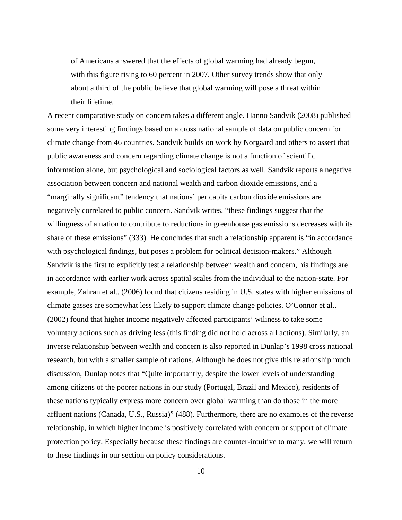of Americans answered that the effects of global warming had already begun, with this figure rising to 60 percent in 2007. Other survey trends show that only about a third of the public believe that global warming will pose a threat within their lifetime.

A recent comparative study on concern takes a different angle. Hanno Sandvik (2008) published some very interesting findings based on a cross national sample of data on public concern for climate change from 46 countries. Sandvik builds on work by Norgaard and others to assert that public awareness and concern regarding climate change is not a function of scientific information alone, but psychological and sociological factors as well. Sandvik reports a negative association between concern and national wealth and carbon dioxide emissions, and a "marginally significant" tendency that nations' per capita carbon dioxide emissions are negatively correlated to public concern. Sandvik writes, "these findings suggest that the willingness of a nation to contribute to reductions in greenhouse gas emissions decreases with its share of these emissions" (333). He concludes that such a relationship apparent is "in accordance with psychological findings, but poses a problem for political decision-makers." Although Sandvik is the first to explicitly test a relationship between wealth and concern, his findings are in accordance with earlier work across spatial scales from the individual to the nation-state. For example, Zahran et al.. (2006) found that citizens residing in U.S. states with higher emissions of climate gasses are somewhat less likely to support climate change policies. O'Connor et al.. (2002) found that higher income negatively affected participants' wiliness to take some voluntary actions such as driving less (this finding did not hold across all actions). Similarly, an inverse relationship between wealth and concern is also reported in Dunlap's 1998 cross national research, but with a smaller sample of nations. Although he does not give this relationship much discussion, Dunlap notes that "Quite importantly, despite the lower levels of understanding among citizens of the poorer nations in our study (Portugal, Brazil and Mexico), residents of these nations typically express more concern over global warming than do those in the more affluent nations (Canada, U.S., Russia)" (488). Furthermore, there are no examples of the reverse relationship, in which higher income is positively correlated with concern or support of climate protection policy. Especially because these findings are counter-intuitive to many, we will return to these findings in our section on policy considerations.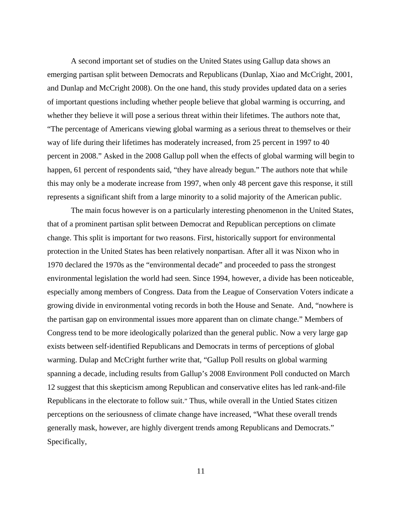A second important set of studies on the United States using Gallup data shows an emerging partisan split between Democrats and Republicans (Dunlap, Xiao and McCright, 2001, and Dunlap and McCright 2008). On the one hand, this study provides updated data on a series of important questions including whether people believe that global warming is occurring, and whether they believe it will pose a serious threat within their lifetimes. The authors note that, "The percentage of Americans viewing global warming as a serious threat to themselves or their way of life during their lifetimes has moderately increased, from 25 percent in 1997 to 40 percent in 2008." Asked in the 2008 Gallup poll when the effects of global warming will begin to happen, 61 percent of respondents said, "they have already begun." The authors note that while this may only be a moderate increase from 1997, when only 48 percent gave this response, it still represents a significant shift from a large minority to a solid majority of the American public.

 The main focus however is on a particularly interesting phenomenon in the United States, that of a prominent partisan split between Democrat and Republican perceptions on climate change. This split is important for two reasons. First, historically support for environmental protection in the United States has been relatively nonpartisan. After all it was Nixon who in 1970 declared the 1970s as the "environmental decade" and proceeded to pass the strongest environmental legislation the world had seen. Since 1994, however, a divide has been noticeable, especially among members of Congress. Data from the League of Conservation Voters indicate a growing divide in environmental voting records in both the House and Senate. And, "nowhere is the partisan gap on environmental issues more apparent than on climate change." Members of Congress tend to be more ideologically polarized than the general public. Now a very large gap exists between self-identified Republicans and Democrats in terms of perceptions of global warming. Dulap and McCright further write that, "Gallup Poll results on global warming spanning a decade, including results from Gallup's 2008 Environment Poll conducted on March 12 suggest that this skepticism among Republican and conservative elites has led rank-and-file Republicans in the electorate to follow suit." Thus, while overall in the Untied States citizen perceptions on the seriousness of climate change have increased, "What these overall trends generally mask, however, are highly divergent trends among Republicans and Democrats." Specifically,

11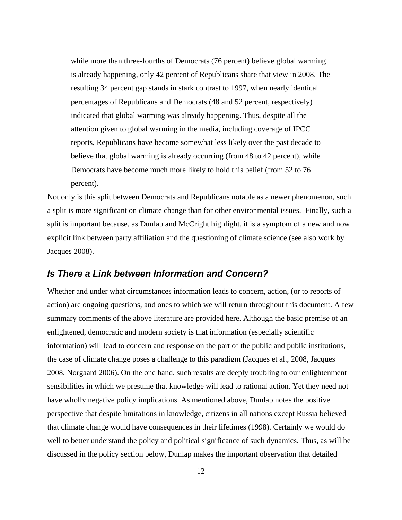while more than three-fourths of Democrats (76 percent) believe global warming is already happening, only 42 percent of Republicans share that view in 2008. The resulting 34 percent gap stands in stark contrast to 1997, when nearly identical percentages of Republicans and Democrats (48 and 52 percent, respectively) indicated that global warming was already happening. Thus, despite all the attention given to global warming in the media, including coverage of IPCC reports, Republicans have become somewhat less likely over the past decade to believe that global warming is already occurring (from 48 to 42 percent), while Democrats have become much more likely to hold this belief (from 52 to 76 percent).

Not only is this split between Democrats and Republicans notable as a newer phenomenon, such a split is more significant on climate change than for other environmental issues. Finally, such a split is important because, as Dunlap and McCright highlight, it is a symptom of a new and now explicit link between party affiliation and the questioning of climate science (see also work by Jacques 2008).

#### <span id="page-13-0"></span>*Is There a Link between Information and Concern?*

Whether and under what circumstances information leads to concern, action, (or to reports of action) are ongoing questions, and ones to which we will return throughout this document. A few summary comments of the above literature are provided here. Although the basic premise of an enlightened, democratic and modern society is that information (especially scientific information) will lead to concern and response on the part of the public and public institutions, the case of climate change poses a challenge to this paradigm (Jacques et al., 2008, Jacques 2008, Norgaard 2006). On the one hand, such results are deeply troubling to our enlightenment sensibilities in which we presume that knowledge will lead to rational action. Yet they need not have wholly negative policy implications. As mentioned above, Dunlap notes the positive perspective that despite limitations in knowledge, citizens in all nations except Russia believed that climate change would have consequences in their lifetimes (1998). Certainly we would do well to better understand the policy and political significance of such dynamics. Thus, as will be discussed in the policy section below, Dunlap makes the important observation that detailed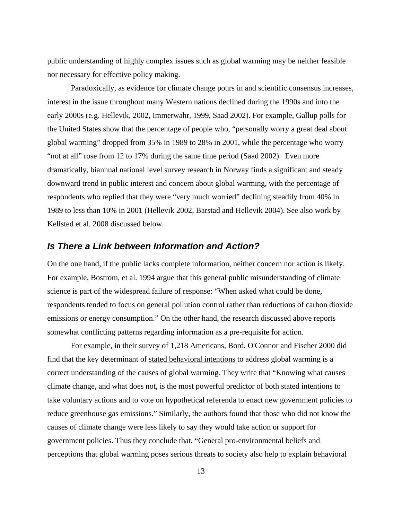public understanding of highly complex issues such as global warming may be neither feasible nor necessary for effective policy making.

 Paradoxically, as evidence for climate change pours in and scientific consensus increases, interest in the issue throughout many Western nations declined during the 1990s and into the early 2000s (e.g. Hellevik, 2002, Immerwahr, 1999, Saad 2002). For example, Gallup polls for the United States show that the percentage of people who, "personally worry a great deal about global warming" dropped from 35% in 1989 to 28% in 2001, while the percentage who worry "not at all" rose from 12 to 17% during the same time period (Saad 2002). Even more dramatically, biannual national level survey research in Norway finds a significant and steady downward trend in public interest and concern about global warming, with the percentage of respondents who replied that they were "very much worried" declining steadily from 40% in 1989 to less than 10% in 2001 (Hellevik 2002, Barstad and Hellevik 2004). See also work by Kellsted et al. 2008 discussed below.

#### <span id="page-14-0"></span>*Is There a Link between Information and Action?*

On the one hand, if the public lacks complete information, neither concern nor action is likely. For example, Bostrom, et al. 1994 argue that this general public misunderstanding of climate science is part of the widespread failure of response: "When asked what could be done, respondents tended to focus on general pollution control rather than reductions of carbon dioxide emissions or energy consumption." On the other hand, the research discussed above reports somewhat conflicting patterns regarding information as a pre-requisite for action.

 For example, in their survey of 1,218 Americans, Bord, O'Connor and Fischer 2000 did find that the key determinant of stated behavioral intentions to address global warming is a correct understanding of the causes of global warming. They write that "Knowing what causes climate change, and what does not, is the most powerful predictor of both stated intentions to take voluntary actions and to vote on hypothetical referenda to enact new government policies to reduce greenhouse gas emissions." Similarly, the authors found that those who did not know the causes of climate change were less likely to say they would take action or support for government policies. Thus they conclude that, "General pro-environmental beliefs and perceptions that global warming poses serious threats to society also help to explain behavioral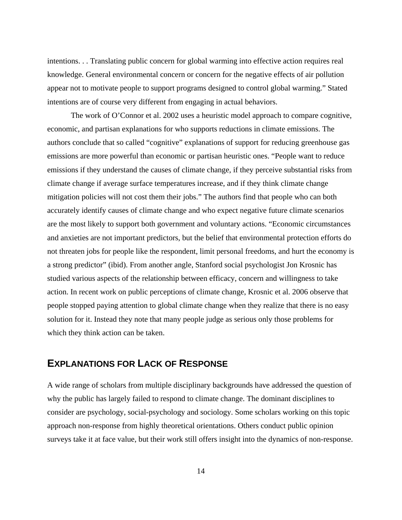intentions. . . Translating public concern for global warming into effective action requires real knowledge. General environmental concern or concern for the negative effects of air pollution appear not to motivate people to support programs designed to control global warming." Stated intentions are of course very different from engaging in actual behaviors.

 The work of O'Connor et al. 2002 uses a heuristic model approach to compare cognitive, economic, and partisan explanations for who supports reductions in climate emissions. The authors conclude that so called "cognitive" explanations of support for reducing greenhouse gas emissions are more powerful than economic or partisan heuristic ones. "People want to reduce emissions if they understand the causes of climate change, if they perceive substantial risks from climate change if average surface temperatures increase, and if they think climate change mitigation policies will not cost them their jobs." The authors find that people who can both accurately identify causes of climate change and who expect negative future climate scenarios are the most likely to support both government and voluntary actions. "Economic circumstances and anxieties are not important predictors, but the belief that environmental protection efforts do not threaten jobs for people like the respondent, limit personal freedoms, and hurt the economy is a strong predictor" (ibid). From another angle, Stanford social psychologist Jon Krosnic has studied various aspects of the relationship between efficacy, concern and willingness to take action. In recent work on public perceptions of climate change, Krosnic et al. 2006 observe that people stopped paying attention to global climate change when they realize that there is no easy solution for it. Instead they note that many people judge as serious only those problems for which they think action can be taken.

## <span id="page-15-0"></span>**EXPLANATIONS FOR LACK OF RESPONSE**

A wide range of scholars from multiple disciplinary backgrounds have addressed the question of why the public has largely failed to respond to climate change. The dominant disciplines to consider are psychology, social-psychology and sociology. Some scholars working on this topic approach non-response from highly theoretical orientations. Others conduct public opinion surveys take it at face value, but their work still offers insight into the dynamics of non-response.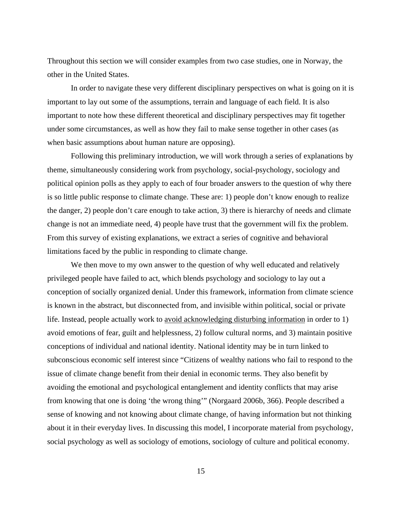Throughout this section we will consider examples from two case studies, one in Norway, the other in the United States.

 In order to navigate these very different disciplinary perspectives on what is going on it is important to lay out some of the assumptions, terrain and language of each field. It is also important to note how these different theoretical and disciplinary perspectives may fit together under some circumstances, as well as how they fail to make sense together in other cases (as when basic assumptions about human nature are opposing).

 Following this preliminary introduction, we will work through a series of explanations by theme, simultaneously considering work from psychology, social-psychology, sociology and political opinion polls as they apply to each of four broader answers to the question of why there is so little public response to climate change. These are: 1) people don't know enough to realize the danger, 2) people don't care enough to take action, 3) there is hierarchy of needs and climate change is not an immediate need, 4) people have trust that the government will fix the problem. From this survey of existing explanations, we extract a series of cognitive and behavioral limitations faced by the public in responding to climate change.

 We then move to my own answer to the question of why well educated and relatively privileged people have failed to act, which blends psychology and sociology to lay out a conception of socially organized denial. Under this framework, information from climate science is known in the abstract, but disconnected from, and invisible within political, social or private life. Instead, people actually work to avoid acknowledging disturbing information in order to 1) avoid emotions of fear, guilt and helplessness, 2) follow cultural norms, and 3) maintain positive conceptions of individual and national identity. National identity may be in turn linked to subconscious economic self interest since "Citizens of wealthy nations who fail to respond to the issue of climate change benefit from their denial in economic terms. They also benefit by avoiding the emotional and psychological entanglement and identity conflicts that may arise from knowing that one is doing 'the wrong thing'" (Norgaard 2006b, 366). People described a sense of knowing and not knowing about climate change, of having information but not thinking about it in their everyday lives. In discussing this model, I incorporate material from psychology, social psychology as well as sociology of emotions, sociology of culture and political economy.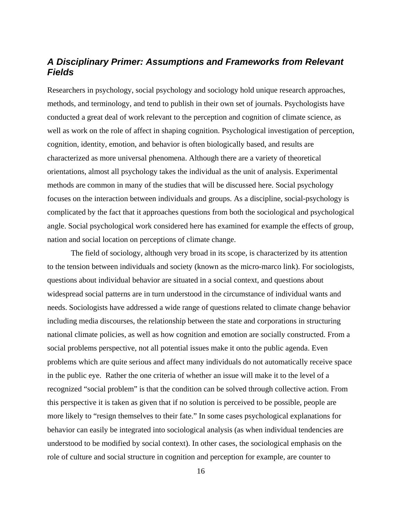## <span id="page-17-0"></span>*A Disciplinary Primer: Assumptions and Frameworks from Relevant Fields*

Researchers in psychology, social psychology and sociology hold unique research approaches, methods, and terminology, and tend to publish in their own set of journals. Psychologists have conducted a great deal of work relevant to the perception and cognition of climate science, as well as work on the role of affect in shaping cognition. Psychological investigation of perception, cognition, identity, emotion, and behavior is often biologically based, and results are characterized as more universal phenomena. Although there are a variety of theoretical orientations, almost all psychology takes the individual as the unit of analysis. Experimental methods are common in many of the studies that will be discussed here. Social psychology focuses on the interaction between individuals and groups. As a discipline, social-psychology is complicated by the fact that it approaches questions from both the sociological and psychological angle. Social psychological work considered here has examined for example the effects of group, nation and social location on perceptions of climate change.

 The field of sociology, although very broad in its scope, is characterized by its attention to the tension between individuals and society (known as the micro-marco link). For sociologists, questions about individual behavior are situated in a social context, and questions about widespread social patterns are in turn understood in the circumstance of individual wants and needs. Sociologists have addressed a wide range of questions related to climate change behavior including media discourses, the relationship between the state and corporations in structuring national climate policies, as well as how cognition and emotion are socially constructed. From a social problems perspective, not all potential issues make it onto the public agenda. Even problems which are quite serious and affect many individuals do not automatically receive space in the public eye. Rather the one criteria of whether an issue will make it to the level of a recognized "social problem" is that the condition can be solved through collective action. From this perspective it is taken as given that if no solution is perceived to be possible, people are more likely to "resign themselves to their fate." In some cases psychological explanations for behavior can easily be integrated into sociological analysis (as when individual tendencies are understood to be modified by social context). In other cases, the sociological emphasis on the role of culture and social structure in cognition and perception for example, are counter to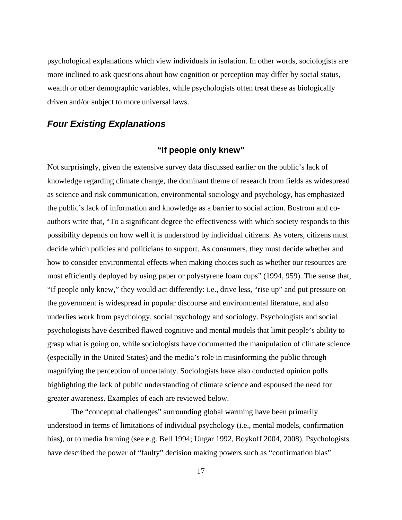psychological explanations which view individuals in isolation. In other words, sociologists are more inclined to ask questions about how cognition or perception may differ by social status, wealth or other demographic variables, while psychologists often treat these as biologically driven and/or subject to more universal laws.

### <span id="page-18-1"></span><span id="page-18-0"></span>*Four Existing Explanations*

## **"If people only knew"**

Not surprisingly, given the extensive survey data discussed earlier on the public's lack of knowledge regarding climate change, the dominant theme of research from fields as widespread as science and risk communication, environmental sociology and psychology, has emphasized the public's lack of information and knowledge as a barrier to social action. Bostrom and coauthors write that, "To a significant degree the effectiveness with which society responds to this possibility depends on how well it is understood by individual citizens. As voters, citizens must decide which policies and politicians to support. As consumers, they must decide whether and how to consider environmental effects when making choices such as whether our resources are most efficiently deployed by using paper or polystyrene foam cups" (1994, 959). The sense that, "if people only knew," they would act differently: i.e., drive less, "rise up" and put pressure on the government is widespread in popular discourse and environmental literature, and also underlies work from psychology, social psychology and sociology. Psychologists and social psychologists have described flawed cognitive and mental models that limit people's ability to grasp what is going on, while sociologists have documented the manipulation of climate science (especially in the United States) and the media's role in misinforming the public through magnifying the perception of uncertainty. Sociologists have also conducted opinion polls highlighting the lack of public understanding of climate science and espoused the need for greater awareness. Examples of each are reviewed below.

 The "conceptual challenges" surrounding global warming have been primarily understood in terms of limitations of individual psychology (i.e., mental models, confirmation bias), or to media framing (see e.g. Bell 1994; Ungar 1992, Boykoff 2004, 2008). Psychologists have described the power of "faulty" decision making powers such as "confirmation bias"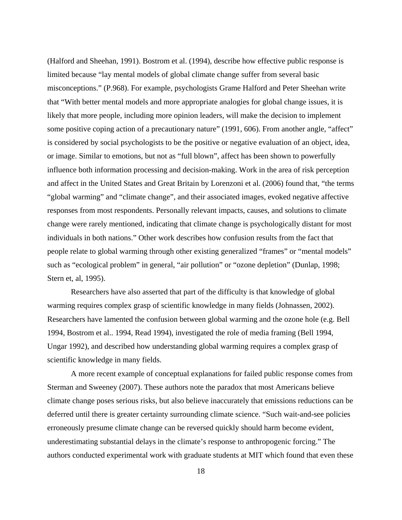(Halford and Sheehan, 1991). Bostrom et al. (1994), describe how effective public response is limited because "lay mental models of global climate change suffer from several basic misconceptions." (P.968). For example, psychologists Grame Halford and Peter Sheehan write that "With better mental models and more appropriate analogies for global change issues, it is likely that more people, including more opinion leaders, will make the decision to implement some positive coping action of a precautionary nature" (1991, 606). From another angle, "affect" is considered by social psychologists to be the positive or negative evaluation of an object, idea, or image. Similar to emotions, but not as "full blown", affect has been shown to powerfully influence both information processing and decision-making. Work in the area of risk perception and affect in the United States and Great Britain by Lorenzoni et al. (2006) found that, "the terms "global warming" and "climate change", and their associated images, evoked negative affective responses from most respondents. Personally relevant impacts, causes, and solutions to climate change were rarely mentioned, indicating that climate change is psychologically distant for most individuals in both nations." Other work describes how confusion results from the fact that people relate to global warming through other existing generalized "frames" or "mental models" such as "ecological problem" in general, "air pollution" or "ozone depletion" (Dunlap, 1998; Stern et, al, 1995).

 Researchers have also asserted that part of the difficulty is that knowledge of global warming requires complex grasp of scientific knowledge in many fields (Johnassen, 2002). Researchers have lamented the confusion between global warming and the ozone hole (e.g. Bell 1994, Bostrom et al.. 1994, Read 1994), investigated the role of media framing (Bell 1994, Ungar 1992), and described how understanding global warming requires a complex grasp of scientific knowledge in many fields.

 A more recent example of conceptual explanations for failed public response comes from Sterman and Sweeney (2007). These authors note the paradox that most Americans believe climate change poses serious risks, but also believe inaccurately that emissions reductions can be deferred until there is greater certainty surrounding climate science. "Such wait-and-see policies erroneously presume climate change can be reversed quickly should harm become evident, underestimating substantial delays in the climate's response to anthropogenic forcing." The authors conducted experimental work with graduate students at MIT which found that even these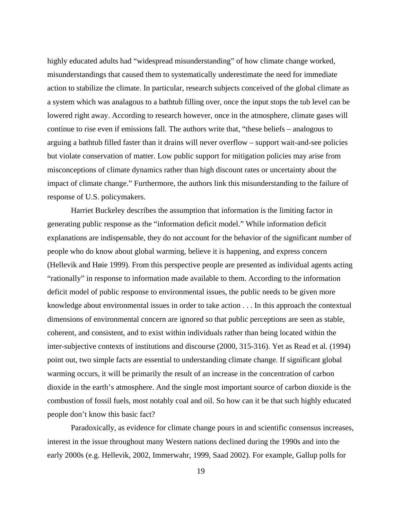highly educated adults had "widespread misunderstanding" of how climate change worked, misunderstandings that caused them to systematically underestimate the need for immediate action to stabilize the climate. In particular, research subjects conceived of the global climate as a system which was analagous to a bathtub filling over, once the input stops the tub level can be lowered right away. According to research however, once in the atmosphere, climate gases will continue to rise even if emissions fall. The authors write that, "these beliefs – analogous to arguing a bathtub filled faster than it drains will never overflow – support wait-and-see policies but violate conservation of matter. Low public support for mitigation policies may arise from misconceptions of climate dynamics rather than high discount rates or uncertainty about the impact of climate change." Furthermore, the authors link this misunderstanding to the failure of response of U.S. policymakers.

 Harriet Buckeley describes the assumption that information is the limiting factor in generating public response as the "information deficit model." While information deficit explanations are indispensable, they do not account for the behavior of the significant number of people who do know about global warming, believe it is happening, and express concern (Hellevik and Høie 1999). From this perspective people are presented as individual agents acting "rationally" in response to information made available to them. According to the information deficit model of public response to environmental issues, the public needs to be given more knowledge about environmental issues in order to take action . . . In this approach the contextual dimensions of environmental concern are ignored so that public perceptions are seen as stable, coherent, and consistent, and to exist within individuals rather than being located within the inter-subjective contexts of institutions and discourse (2000, 315-316). Yet as Read et al. (1994) point out, two simple facts are essential to understanding climate change. If significant global warming occurs, it will be primarily the result of an increase in the concentration of carbon dioxide in the earth's atmosphere. And the single most important source of carbon dioxide is the combustion of fossil fuels, most notably coal and oil. So how can it be that such highly educated people don't know this basic fact?

 Paradoxically, as evidence for climate change pours in and scientific consensus increases, interest in the issue throughout many Western nations declined during the 1990s and into the early 2000s (e.g. Hellevik, 2002, Immerwahr, 1999, Saad 2002). For example, Gallup polls for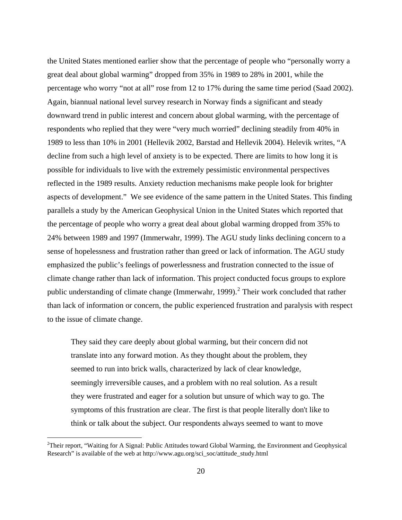the United States mentioned earlier show that the percentage of people who "personally worry a great deal about global warming" dropped from 35% in 1989 to 28% in 2001, while the percentage who worry "not at all" rose from 12 to 17% during the same time period (Saad 2002). Again, biannual national level survey research in Norway finds a significant and steady downward trend in public interest and concern about global warming, with the percentage of respondents who replied that they were "very much worried" declining steadily from 40% in 1989 to less than 10% in 2001 (Hellevik 2002, Barstad and Hellevik 2004). Helevik writes, "A decline from such a high level of anxiety is to be expected. There are limits to how long it is possible for individuals to live with the extremely pessimistic environmental perspectives reflected in the 1989 results. Anxiety reduction mechanisms make people look for brighter aspects of development." We see evidence of the same pattern in the United States. This finding parallels a study by the American Geophysical Union in the United States which reported that the percentage of people who worry a great deal about global warming dropped from 35% to 24% between 1989 and 1997 (Immerwahr, 1999). The AGU study links declining concern to a sense of hopelessness and frustration rather than greed or lack of information. The AGU study emphasized the public's feelings of powerlessness and frustration connected to the issue of climate change rather than lack of information. This project conducted focus groups to explore public understanding of climate change (Immerwahr, 1999).<sup>[2](#page-21-0)</sup> Their work concluded that rather than lack of information or concern, the public experienced frustration and paralysis with respect to the issue of climate change.

They said they care deeply about global warming, but their concern did not translate into any forward motion. As they thought about the problem, they seemed to run into brick walls, characterized by lack of clear knowledge, seemingly irreversible causes, and a problem with no real solution. As a result they were frustrated and eager for a solution but unsure of which way to go. The symptoms of this frustration are clear. The first is that people literally don't like to think or talk about the subject. Our respondents always seemed to want to move

 $\overline{a}$ 

<span id="page-21-0"></span><sup>&</sup>lt;sup>2</sup>Their report, "Waiting for A Signal: Public Attitudes toward Global Warming, the Environment and Geophysical Research" is available of the web at http://www.agu.org/sci\_soc/attitude\_study.html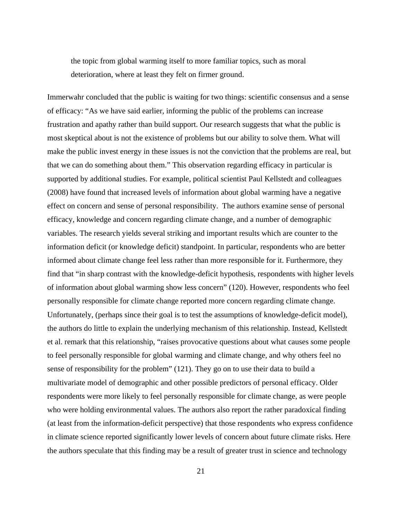the topic from global warming itself to more familiar topics, such as moral deterioration, where at least they felt on firmer ground.

Immerwahr concluded that the public is waiting for two things: scientific consensus and a sense of efficacy: "As we have said earlier, informing the public of the problems can increase frustration and apathy rather than build support. Our research suggests that what the public is most skeptical about is not the existence of problems but our ability to solve them. What will make the public invest energy in these issues is not the conviction that the problems are real, but that we can do something about them." This observation regarding efficacy in particular is supported by additional studies. For example, political scientist Paul Kellstedt and colleagues (2008) have found that increased levels of information about global warming have a negative effect on concern and sense of personal responsibility. The authors examine sense of personal efficacy, knowledge and concern regarding climate change, and a number of demographic variables. The research yields several striking and important results which are counter to the information deficit (or knowledge deficit) standpoint. In particular, respondents who are better informed about climate change feel less rather than more responsible for it. Furthermore, they find that "in sharp contrast with the knowledge-deficit hypothesis, respondents with higher levels of information about global warming show less concern" (120). However, respondents who feel personally responsible for climate change reported more concern regarding climate change. Unfortunately, (perhaps since their goal is to test the assumptions of knowledge-deficit model), the authors do little to explain the underlying mechanism of this relationship. Instead, Kellstedt et al. remark that this relationship, "raises provocative questions about what causes some people to feel personally responsible for global warming and climate change, and why others feel no sense of responsibility for the problem" (121). They go on to use their data to build a multivariate model of demographic and other possible predictors of personal efficacy. Older respondents were more likely to feel personally responsible for climate change, as were people who were holding environmental values. The authors also report the rather paradoxical finding (at least from the information-deficit perspective) that those respondents who express confidence in climate science reported significantly lower levels of concern about future climate risks. Here the authors speculate that this finding may be a result of greater trust in science and technology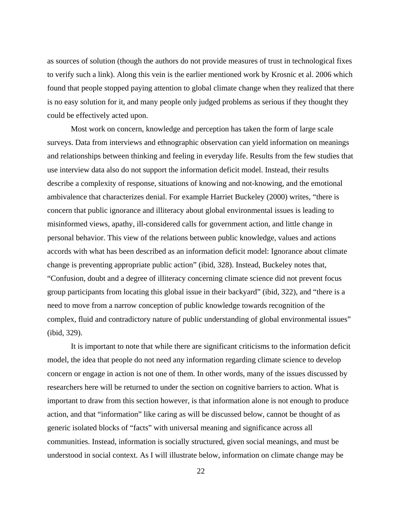as sources of solution (though the authors do not provide measures of trust in technological fixes to verify such a link). Along this vein is the earlier mentioned work by Krosnic et al. 2006 which found that people stopped paying attention to global climate change when they realized that there is no easy solution for it, and many people only judged problems as serious if they thought they could be effectively acted upon.

 Most work on concern, knowledge and perception has taken the form of large scale surveys. Data from interviews and ethnographic observation can yield information on meanings and relationships between thinking and feeling in everyday life. Results from the few studies that use interview data also do not support the information deficit model. Instead, their results describe a complexity of response, situations of knowing and not-knowing, and the emotional ambivalence that characterizes denial. For example Harriet Buckeley (2000) writes, "there is concern that public ignorance and illiteracy about global environmental issues is leading to misinformed views, apathy, ill-considered calls for government action, and little change in personal behavior. This view of the relations between public knowledge, values and actions accords with what has been described as an information deficit model: Ignorance about climate change is preventing appropriate public action" (ibid, 328). Instead, Buckeley notes that, "Confusion, doubt and a degree of illiteracy concerning climate science did not prevent focus group participants from locating this global issue in their backyard" (ibid, 322), and "there is a need to move from a narrow conception of public knowledge towards recognition of the complex, fluid and contradictory nature of public understanding of global environmental issues" (ibid, 329).

 It is important to note that while there are significant criticisms to the information deficit model, the idea that people do not need any information regarding climate science to develop concern or engage in action is not one of them. In other words, many of the issues discussed by researchers here will be returned to under the section on cognitive barriers to action. What is important to draw from this section however, is that information alone is not enough to produce action, and that "information" like caring as will be discussed below, cannot be thought of as generic isolated blocks of "facts" with universal meaning and significance across all communities. Instead, information is socially structured, given social meanings, and must be understood in social context. As I will illustrate below, information on climate change may be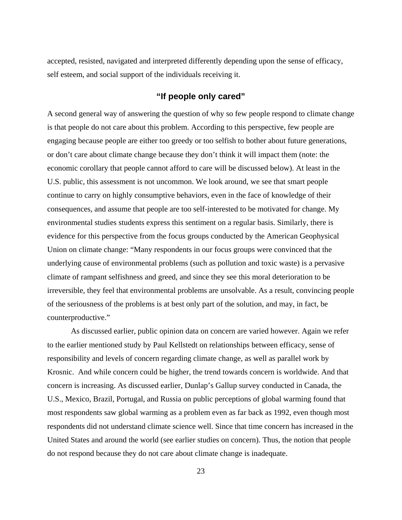accepted, resisted, navigated and interpreted differently depending upon the sense of efficacy, self esteem, and social support of the individuals receiving it.

## **"If people only cared"**

<span id="page-24-0"></span>A second general way of answering the question of why so few people respond to climate change is that people do not care about this problem. According to this perspective, few people are engaging because people are either too greedy or too selfish to bother about future generations, or don't care about climate change because they don't think it will impact them (note: the economic corollary that people cannot afford to care will be discussed below). At least in the U.S. public, this assessment is not uncommon. We look around, we see that smart people continue to carry on highly consumptive behaviors, even in the face of knowledge of their consequences, and assume that people are too self-interested to be motivated for change. My environmental studies students express this sentiment on a regular basis. Similarly, there is evidence for this perspective from the focus groups conducted by the American Geophysical Union on climate change: "Many respondents in our focus groups were convinced that the underlying cause of environmental problems (such as pollution and toxic waste) is a pervasive climate of rampant selfishness and greed, and since they see this moral deterioration to be irreversible, they feel that environmental problems are unsolvable. As a result, convincing people of the seriousness of the problems is at best only part of the solution, and may, in fact, be counterproductive."

 As discussed earlier, public opinion data on concern are varied however. Again we refer to the earlier mentioned study by Paul Kellstedt on relationships between efficacy, sense of responsibility and levels of concern regarding climate change, as well as parallel work by Krosnic. And while concern could be higher, the trend towards concern is worldwide. And that concern is increasing. As discussed earlier, Dunlap's Gallup survey conducted in Canada, the U.S., Mexico, Brazil, Portugal, and Russia on public perceptions of global warming found that most respondents saw global warming as a problem even as far back as 1992, even though most respondents did not understand climate science well. Since that time concern has increased in the United States and around the world (see earlier studies on concern). Thus, the notion that people do not respond because they do not care about climate change is inadequate.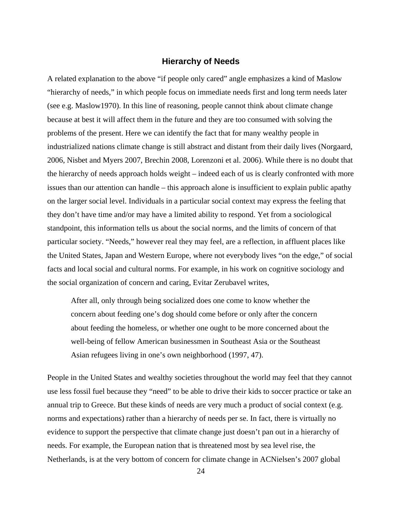#### **Hierarchy of Needs**

<span id="page-25-0"></span>A related explanation to the above "if people only cared" angle emphasizes a kind of Maslow "hierarchy of needs," in which people focus on immediate needs first and long term needs later (see e.g. Maslow1970). In this line of reasoning, people cannot think about climate change because at best it will affect them in the future and they are too consumed with solving the problems of the present. Here we can identify the fact that for many wealthy people in industrialized nations climate change is still abstract and distant from their daily lives (Norgaard, 2006, Nisbet and Myers 2007, Brechin 2008, Lorenzoni et al. 2006). While there is no doubt that the hierarchy of needs approach holds weight – indeed each of us is clearly confronted with more issues than our attention can handle – this approach alone is insufficient to explain public apathy on the larger social level. Individuals in a particular social context may express the feeling that they don't have time and/or may have a limited ability to respond. Yet from a sociological standpoint, this information tells us about the social norms, and the limits of concern of that particular society. "Needs," however real they may feel, are a reflection, in affluent places like the United States, Japan and Western Europe, where not everybody lives "on the edge," of social facts and local social and cultural norms. For example, in his work on cognitive sociology and the social organization of concern and caring, Evitar Zerubavel writes,

After all, only through being socialized does one come to know whether the concern about feeding one's dog should come before or only after the concern about feeding the homeless, or whether one ought to be more concerned about the well-being of fellow American businessmen in Southeast Asia or the Southeast Asian refugees living in one's own neighborhood (1997, 47).

People in the United States and wealthy societies throughout the world may feel that they cannot use less fossil fuel because they "need" to be able to drive their kids to soccer practice or take an annual trip to Greece. But these kinds of needs are very much a product of social context (e.g. norms and expectations) rather than a hierarchy of needs per se. In fact, there is virtually no evidence to support the perspective that climate change just doesn't pan out in a hierarchy of needs. For example, the European nation that is threatened most by sea level rise, the Netherlands, is at the very bottom of concern for climate change in ACNielsen's 2007 global

24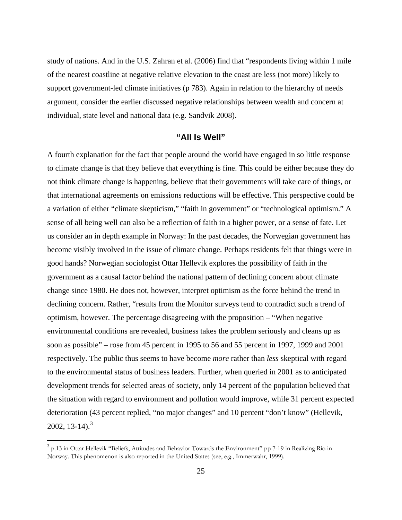study of nations. And in the U.S. Zahran et al. (2006) find that "respondents living within 1 mile of the nearest coastline at negative relative elevation to the coast are less (not more) likely to support government-led climate initiatives (p 783). Again in relation to the hierarchy of needs argument, consider the earlier discussed negative relationships between wealth and concern at individual, state level and national data (e.g. Sandvik 2008).

#### **"All Is Well"**

<span id="page-26-0"></span>A fourth explanation for the fact that people around the world have engaged in so little response to climate change is that they believe that everything is fine. This could be either because they do not think climate change is happening, believe that their governments will take care of things, or that international agreements on emissions reductions will be effective. This perspective could be a variation of either "climate skepticism," "faith in government" or "technological optimism." A sense of all being well can also be a reflection of faith in a higher power, or a sense of fate. Let us consider an in depth example in Norway: In the past decades, the Norwegian government has become visibly involved in the issue of climate change. Perhaps residents felt that things were in good hands? Norwegian sociologist Ottar Hellevik explores the possibility of faith in the government as a causal factor behind the national pattern of declining concern about climate change since 1980. He does not, however, interpret optimism as the force behind the trend in declining concern. Rather, "results from the Monitor surveys tend to contradict such a trend of optimism, however. The percentage disagreeing with the proposition – "When negative environmental conditions are revealed, business takes the problem seriously and cleans up as soon as possible" – rose from 45 percent in 1995 to 56 and 55 percent in 1997, 1999 and 2001 respectively. The public thus seems to have become *more* rather than *less* skeptical with regard to the environmental status of business leaders. Further, when queried in 2001 as to anticipated development trends for selected areas of society, only 14 percent of the population believed that the situation with regard to environment and pollution would improve, while 31 percent expected deterioration (43 percent replied, "no major changes" and 10 percent "don't know" (Hellevik,  $2002, 13-14$  $2002, 13-14$  $2002, 13-14$ <sup>3</sup>

 $\overline{a}$ 

<span id="page-26-1"></span><sup>&</sup>lt;sup>3</sup> p.13 in Ottar Hellevik "Beliefs, Attitudes and Behavior Towards the Environment" pp 7-19 in Realizing Rio in Norway. This phenomenon is also reported in the United States (see, e.g., Immerwahr, 1999).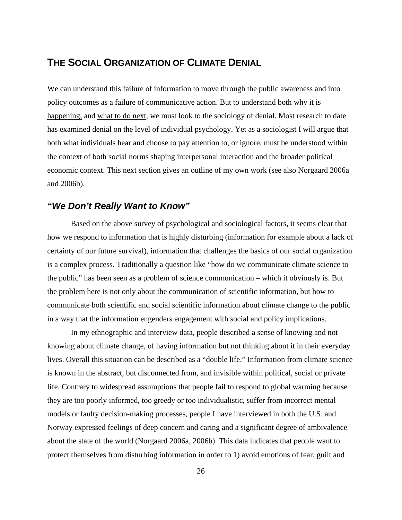## <span id="page-27-0"></span>**THE SOCIAL ORGANIZATION OF CLIMATE DENIAL**

We can understand this failure of information to move through the public awareness and into policy outcomes as a failure of communicative action. But to understand both why it is happening, and what to do next, we must look to the sociology of denial. Most research to date has examined denial on the level of individual psychology. Yet as a sociologist I will argue that both what individuals hear and choose to pay attention to, or ignore, must be understood within the context of both social norms shaping interpersonal interaction and the broader political economic context. This next section gives an outline of my own work (see also Norgaard 2006a and 2006b).

#### <span id="page-27-1"></span>*"We Don't Really Want to Know"*

 Based on the above survey of psychological and sociological factors, it seems clear that how we respond to information that is highly disturbing (information for example about a lack of certainty of our future survival), information that challenges the basics of our social organization is a complex process. Traditionally a question like "how do we communicate climate science to the public" has been seen as a problem of science communication – which it obviously is. But the problem here is not only about the communication of scientific information, but how to communicate both scientific and social scientific information about climate change to the public in a way that the information engenders engagement with social and policy implications.

 In my ethnographic and interview data, people described a sense of knowing and not knowing about climate change, of having information but not thinking about it in their everyday lives. Overall this situation can be described as a "double life." Information from climate science is known in the abstract, but disconnected from, and invisible within political, social or private life. Contrary to widespread assumptions that people fail to respond to global warming because they are too poorly informed, too greedy or too individualistic, suffer from incorrect mental models or faulty decision-making processes, people I have interviewed in both the U.S. and Norway expressed feelings of deep concern and caring and a significant degree of ambivalence about the state of the world (Norgaard 2006a, 2006b). This data indicates that people want to protect themselves from disturbing information in order to 1) avoid emotions of fear, guilt and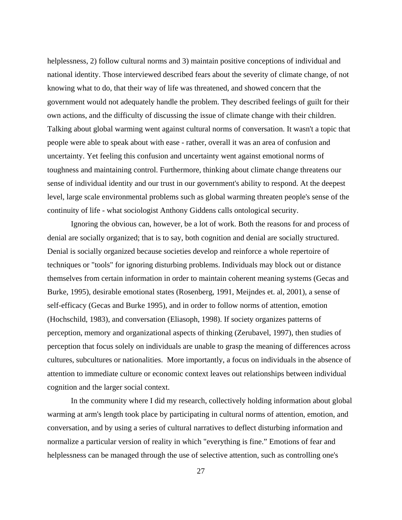helplessness, 2) follow cultural norms and 3) maintain positive conceptions of individual and national identity. Those interviewed described fears about the severity of climate change, of not knowing what to do, that their way of life was threatened, and showed concern that the government would not adequately handle the problem. They described feelings of guilt for their own actions, and the difficulty of discussing the issue of climate change with their children. Talking about global warming went against cultural norms of conversation. It wasn't a topic that people were able to speak about with ease - rather, overall it was an area of confusion and uncertainty. Yet feeling this confusion and uncertainty went against emotional norms of toughness and maintaining control. Furthermore, thinking about climate change threatens our sense of individual identity and our trust in our government's ability to respond. At the deepest level, large scale environmental problems such as global warming threaten people's sense of the continuity of life - what sociologist Anthony Giddens calls ontological security.

 Ignoring the obvious can, however, be a lot of work. Both the reasons for and process of denial are socially organized; that is to say, both cognition and denial are socially structured. Denial is socially organized because societies develop and reinforce a whole repertoire of techniques or "tools" for ignoring disturbing problems. Individuals may block out or distance themselves from certain information in order to maintain coherent meaning systems (Gecas and Burke, 1995), desirable emotional states (Rosenberg, 1991, Meijndes et. al, 2001), a sense of self-efficacy (Gecas and Burke 1995), and in order to follow norms of attention, emotion (Hochschild, 1983), and conversation (Eliasoph, 1998). If society organizes patterns of perception, memory and organizational aspects of thinking (Zerubavel, 1997), then studies of perception that focus solely on individuals are unable to grasp the meaning of differences across cultures, subcultures or nationalities. More importantly, a focus on individuals in the absence of attention to immediate culture or economic context leaves out relationships between individual cognition and the larger social context.

 In the community where I did my research, collectively holding information about global warming at arm's length took place by participating in cultural norms of attention, emotion, and conversation, and by using a series of cultural narratives to deflect disturbing information and normalize a particular version of reality in which "everything is fine." Emotions of fear and helplessness can be managed through the use of selective attention, such as controlling one's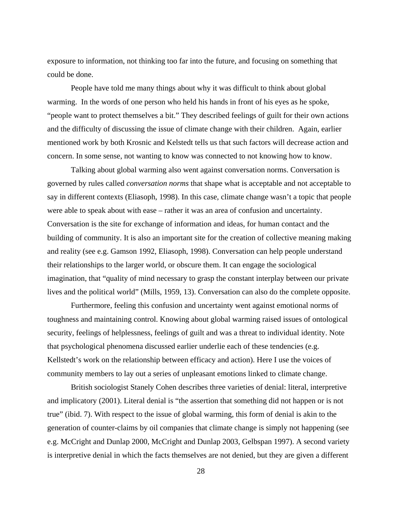exposure to information, not thinking too far into the future, and focusing on something that could be done.

 People have told me many things about why it was difficult to think about global warming. In the words of one person who held his hands in front of his eyes as he spoke, "people want to protect themselves a bit." They described feelings of guilt for their own actions and the difficulty of discussing the issue of climate change with their children. Again, earlier mentioned work by both Krosnic and Kelstedt tells us that such factors will decrease action and concern. In some sense, not wanting to know was connected to not knowing how to know.

 Talking about global warming also went against conversation norms. Conversation is governed by rules called *conversation norms* that shape what is acceptable and not acceptable to say in different contexts (Eliasoph, 1998). In this case, climate change wasn't a topic that people were able to speak about with ease – rather it was an area of confusion and uncertainty. Conversation is the site for exchange of information and ideas, for human contact and the building of community. It is also an important site for the creation of collective meaning making and reality (see e.g. Gamson 1992, Eliasoph, 1998). Conversation can help people understand their relationships to the larger world, or obscure them. It can engage the sociological imagination, that "quality of mind necessary to grasp the constant interplay between our private lives and the political world" (Mills, 1959, 13). Conversation can also do the complete opposite.

Furthermore, feeling this confusion and uncertainty went against emotional norms of toughness and maintaining control. Knowing about global warming raised issues of ontological security, feelings of helplessness, feelings of guilt and was a threat to individual identity. Note that psychological phenomena discussed earlier underlie each of these tendencies (e.g. Kellstedt's work on the relationship between efficacy and action). Here I use the voices of community members to lay out a series of unpleasant emotions linked to climate change.

British sociologist Stanely Cohen describes three varieties of denial: literal, interpretive and implicatory (2001). Literal denial is "the assertion that something did not happen or is not true" (ibid. 7). With respect to the issue of global warming, this form of denial is akin to the generation of counter-claims by oil companies that climate change is simply not happening (see e.g. McCright and Dunlap 2000, McCright and Dunlap 2003, Gelbspan 1997). A second variety is interpretive denial in which the facts themselves are not denied, but they are given a different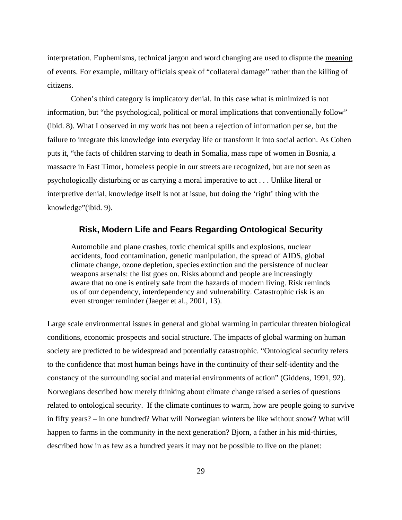interpretation. Euphemisms, technical jargon and word changing are used to dispute the meaning of events. For example, military officials speak of "collateral damage" rather than the killing of citizens.

Cohen's third category is implicatory denial. In this case what is minimized is not information, but "the psychological, political or moral implications that conventionally follow" (ibid. 8). What I observed in my work has not been a rejection of information per se, but the failure to integrate this knowledge into everyday life or transform it into social action. As Cohen puts it, "the facts of children starving to death in Somalia, mass rape of women in Bosnia, a massacre in East Timor, homeless people in our streets are recognized, but are not seen as psychologically disturbing or as carrying a moral imperative to act . . . Unlike literal or interpretive denial, knowledge itself is not at issue, but doing the 'right' thing with the knowledge"(ibid. 9).

#### **Risk, Modern Life and Fears Regarding Ontological Security**

<span id="page-30-0"></span>Automobile and plane crashes, toxic chemical spills and explosions, nuclear accidents, food contamination, genetic manipulation, the spread of AIDS, global climate change, ozone depletion, species extinction and the persistence of nuclear weapons arsenals: the list goes on. Risks abound and people are increasingly aware that no one is entirely safe from the hazards of modern living. Risk reminds us of our dependency, interdependency and vulnerability. Catastrophic risk is an even stronger reminder (Jaeger et al., 2001, 13).

Large scale environmental issues in general and global warming in particular threaten biological conditions, economic prospects and social structure. The impacts of global warming on human society are predicted to be widespread and potentially catastrophic. "Ontological security refers to the confidence that most human beings have in the continuity of their self-identity and the constancy of the surrounding social and material environments of action" (Giddens, 1991, 92). Norwegians described how merely thinking about climate change raised a series of questions related to ontological security. If the climate continues to warm, how are people going to survive in fifty years? – in one hundred? What will Norwegian winters be like without snow? What will happen to farms in the community in the next generation? Bjorn, a father in his mid-thirties, described how in as few as a hundred years it may not be possible to live on the planet: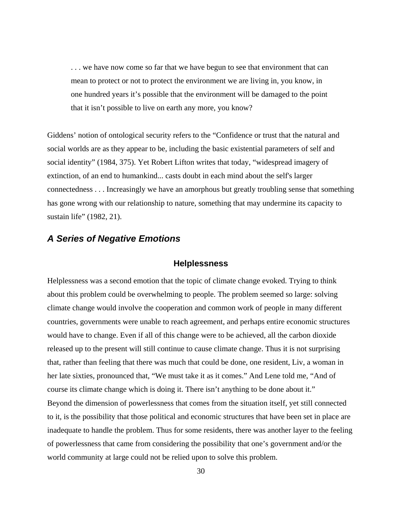. . . we have now come so far that we have begun to see that environment that can mean to protect or not to protect the environment we are living in, you know, in one hundred years it's possible that the environment will be damaged to the point that it isn't possible to live on earth any more, you know?

Giddens' notion of ontological security refers to the "Confidence or trust that the natural and social worlds are as they appear to be, including the basic existential parameters of self and social identity" (1984, 375). Yet Robert Lifton writes that today, "widespread imagery of extinction, of an end to humankind... casts doubt in each mind about the self's larger connectedness . . . Increasingly we have an amorphous but greatly troubling sense that something has gone wrong with our relationship to nature, something that may undermine its capacity to sustain life" (1982, 21).

#### <span id="page-31-1"></span><span id="page-31-0"></span>*A Series of Negative Emotions*

#### **Helplessness**

Helplessness was a second emotion that the topic of climate change evoked. Trying to think about this problem could be overwhelming to people. The problem seemed so large: solving climate change would involve the cooperation and common work of people in many different countries, governments were unable to reach agreement, and perhaps entire economic structures would have to change. Even if all of this change were to be achieved, all the carbon dioxide released up to the present will still continue to cause climate change. Thus it is not surprising that, rather than feeling that there was much that could be done, one resident, Liv, a woman in her late sixties, pronounced that, "We must take it as it comes." And Lene told me, "And of course its climate change which is doing it. There isn't anything to be done about it." Beyond the dimension of powerlessness that comes from the situation itself, yet still connected to it, is the possibility that those political and economic structures that have been set in place are inadequate to handle the problem. Thus for some residents, there was another layer to the feeling of powerlessness that came from considering the possibility that one's government and/or the world community at large could not be relied upon to solve this problem.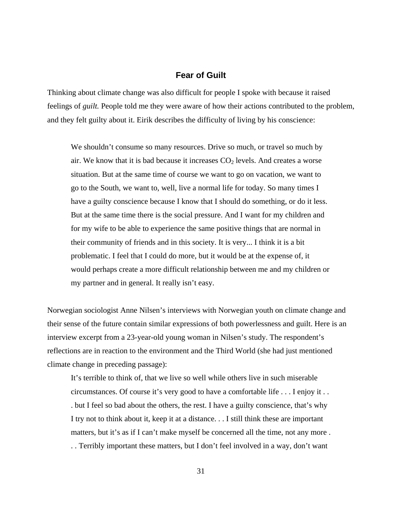#### **Fear of Guilt**

<span id="page-32-0"></span>Thinking about climate change was also difficult for people I spoke with because it raised feelings of *guilt.* People told me they were aware of how their actions contributed to the problem, and they felt guilty about it. Eirik describes the difficulty of living by his conscience:

We shouldn't consume so many resources. Drive so much, or travel so much by air. We know that it is bad because it increases  $CO<sub>2</sub>$  levels. And creates a worse situation. But at the same time of course we want to go on vacation, we want to go to the South, we want to, well, live a normal life for today. So many times I have a guilty conscience because I know that I should do something, or do it less. But at the same time there is the social pressure. And I want for my children and for my wife to be able to experience the same positive things that are normal in their community of friends and in this society. It is very... I think it is a bit problematic. I feel that I could do more, but it would be at the expense of, it would perhaps create a more difficult relationship between me and my children or my partner and in general. It really isn't easy.

Norwegian sociologist Anne Nilsen's interviews with Norwegian youth on climate change and their sense of the future contain similar expressions of both powerlessness and guilt. Here is an interview excerpt from a 23-year-old young woman in Nilsen's study. The respondent's reflections are in reaction to the environment and the Third World (she had just mentioned climate change in preceding passage):

It's terrible to think of, that we live so well while others live in such miserable circumstances. Of course it's very good to have a comfortable life . . . I enjoy it . . . but I feel so bad about the others, the rest. I have a guilty conscience, that's why I try not to think about it, keep it at a distance. . . I still think these are important matters, but it's as if I can't make myself be concerned all the time, not any more . . . Terribly important these matters, but I don't feel involved in a way, don't want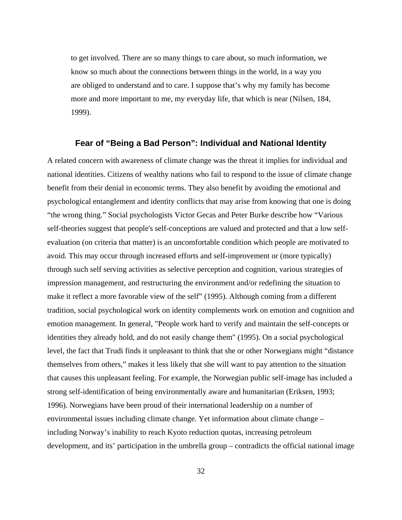to get involved. There are so many things to care about, so much information, we know so much about the connections between things in the world, in a way you are obliged to understand and to care. I suppose that's why my family has become more and more important to me, my everyday life, that which is near (Nilsen, 184, 1999).

#### **Fear of "Being a Bad Person": Individual and National Identity**

<span id="page-33-0"></span>A related concern with awareness of climate change was the threat it implies for individual and national identities. Citizens of wealthy nations who fail to respond to the issue of climate change benefit from their denial in economic terms. They also benefit by avoiding the emotional and psychological entanglement and identity conflicts that may arise from knowing that one is doing "the wrong thing." Social psychologists Victor Gecas and Peter Burke describe how "Various self-theories suggest that people's self-conceptions are valued and protected and that a low selfevaluation (on criteria that matter) is an uncomfortable condition which people are motivated to avoid. This may occur through increased efforts and self-improvement or (more typically) through such self serving activities as selective perception and cognition, various strategies of impression management, and restructuring the environment and/or redefining the situation to make it reflect a more favorable view of the self" (1995). Although coming from a different tradition, social psychological work on identity complements work on emotion and cognition and emotion management. In general, "People work hard to verify and maintain the self-concepts or identities they already hold, and do not easily change them" (1995). On a social psychological level, the fact that Trudi finds it unpleasant to think that she or other Norwegians might "distance themselves from others," makes it less likely that she will want to pay attention to the situation that causes this unpleasant feeling. For example, the Norwegian public self-image has included a strong self-identification of being environmentally aware and humanitarian (Eriksen, 1993; 1996). Norwegians have been proud of their international leadership on a number of environmental issues including climate change. Yet information about climate change – including Norway's inability to reach Kyoto reduction quotas, increasing petroleum development, and its' participation in the umbrella group – contradicts the official national image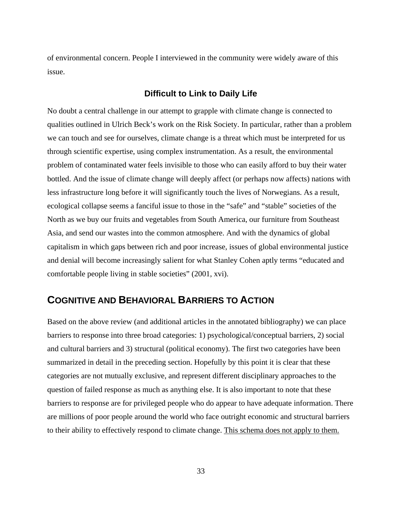of environmental concern. People I interviewed in the community were widely aware of this issue.

#### **Difficult to Link to Daily Life**

<span id="page-34-0"></span>No doubt a central challenge in our attempt to grapple with climate change is connected to qualities outlined in Ulrich Beck's work on the Risk Society. In particular, rather than a problem we can touch and see for ourselves, climate change is a threat which must be interpreted for us through scientific expertise, using complex instrumentation. As a result, the environmental problem of contaminated water feels invisible to those who can easily afford to buy their water bottled. And the issue of climate change will deeply affect (or perhaps now affects) nations with less infrastructure long before it will significantly touch the lives of Norwegians. As a result, ecological collapse seems a fanciful issue to those in the "safe" and "stable" societies of the North as we buy our fruits and vegetables from South America, our furniture from Southeast Asia, and send our wastes into the common atmosphere. And with the dynamics of global capitalism in which gaps between rich and poor increase, issues of global environmental justice and denial will become increasingly salient for what Stanley Cohen aptly terms "educated and comfortable people living in stable societies" (2001, xvi).

## <span id="page-34-1"></span>**COGNITIVE AND BEHAVIORAL BARRIERS TO ACTION**

Based on the above review (and additional articles in the annotated bibliography) we can place barriers to response into three broad categories: 1) psychological/conceptual barriers, 2) social and cultural barriers and 3) structural (political economy). The first two categories have been summarized in detail in the preceding section. Hopefully by this point it is clear that these categories are not mutually exclusive, and represent different disciplinary approaches to the question of failed response as much as anything else. It is also important to note that these barriers to response are for privileged people who do appear to have adequate information. There are millions of poor people around the world who face outright economic and structural barriers to their ability to effectively respond to climate change. This schema does not apply to them.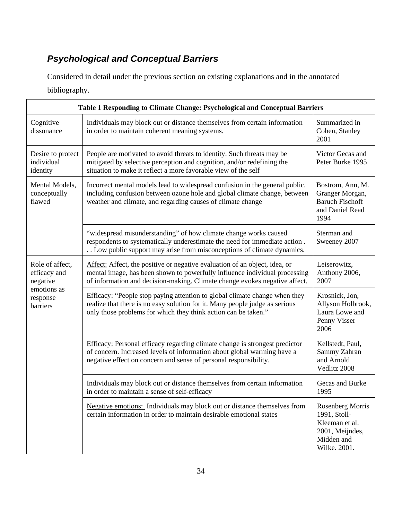# <span id="page-35-0"></span>*Psychological and Conceptual Barriers*

Considered in detail under the previous section on existing explanations and in the annotated bibliography.

| Table 1 Responding to Climate Change: Psychological and Conceptual Barriers        |                                                                                                                                                                                                                                        |                                                                                                     |  |
|------------------------------------------------------------------------------------|----------------------------------------------------------------------------------------------------------------------------------------------------------------------------------------------------------------------------------------|-----------------------------------------------------------------------------------------------------|--|
| Cognitive<br>dissonance                                                            | Individuals may block out or distance themselves from certain information<br>in order to maintain coherent meaning systems.                                                                                                            | Summarized in<br>Cohen, Stanley<br>2001                                                             |  |
| Desire to protect<br>individual<br>identity                                        | People are motivated to avoid threats to identity. Such threats may be<br>mitigated by selective perception and cognition, and/or redefining the<br>situation to make it reflect a more favorable view of the self                     | Victor Gecas and<br>Peter Burke 1995                                                                |  |
| Mental Models,<br>conceptually<br>flawed                                           | Incorrect mental models lead to widespread confusion in the general public,<br>including confusion between ozone hole and global climate change, between<br>weather and climate, and regarding causes of climate change                | Bostrom, Ann, M.<br>Granger Morgan,<br><b>Baruch Fischoff</b><br>and Daniel Read<br>1994            |  |
|                                                                                    | "widespread misunderstanding" of how climate change works caused<br>respondents to systematically underestimate the need for immediate action.<br>Low public support may arise from misconceptions of climate dynamics.                | Sterman and<br>Sweeney 2007                                                                         |  |
| Role of affect,<br>efficacy and<br>negative<br>emotions as<br>response<br>barriers | Affect: Affect, the positive or negative evaluation of an object, idea, or<br>mental image, has been shown to powerfully influence individual processing<br>of information and decision-making. Climate change evokes negative affect. | Leiserowitz,<br>Anthony 2006,<br>2007                                                               |  |
|                                                                                    | Efficacy: "People stop paying attention to global climate change when they<br>realize that there is no easy solution for it. Many people judge as serious<br>only those problems for which they think action can be taken."            | Krosnick, Jon,<br>Allyson Holbrook,<br>Laura Lowe and<br>Penny Visser<br>2006                       |  |
|                                                                                    | Efficacy: Personal efficacy regarding climate change is strongest predictor<br>of concern. Increased levels of information about global warming have a<br>negative effect on concern and sense of personal responsibility.             | Kellstedt, Paul,<br>Sammy Zahran<br>and Arnold<br>Vedlitz 2008                                      |  |
|                                                                                    | Individuals may block out or distance themselves from certain information<br>in order to maintain a sense of self-efficacy                                                                                                             | Gecas and Burke<br>1995                                                                             |  |
|                                                                                    | Negative emotions: Individuals may block out or distance themselves from<br>certain information in order to maintain desirable emotional states                                                                                        | Rosenberg Morris<br>1991, Stoll-<br>Kleeman et al.<br>2001, Meijndes,<br>Midden and<br>Wilke. 2001. |  |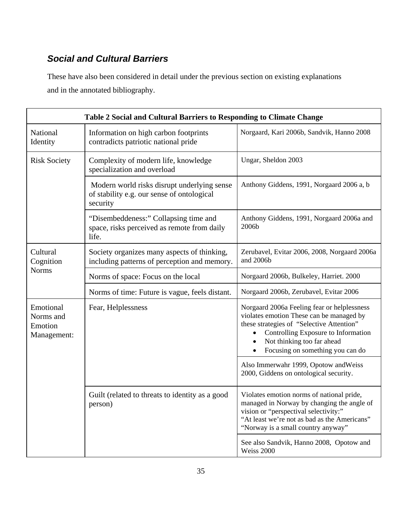# *Social and Cultural Barriers*

These have also been considered in detail under the previous section on existing explanations and in the annotated bibliography.

| Table 2 Social and Cultural Barriers to Responding to Climate Change |                                                                                                       |                                                                                                                                                                                                                                               |  |  |
|----------------------------------------------------------------------|-------------------------------------------------------------------------------------------------------|-----------------------------------------------------------------------------------------------------------------------------------------------------------------------------------------------------------------------------------------------|--|--|
| National<br>Identity                                                 | Information on high carbon footprints<br>contradicts patriotic national pride                         | Norgaard, Kari 2006b, Sandvik, Hanno 2008                                                                                                                                                                                                     |  |  |
| <b>Risk Society</b>                                                  | Complexity of modern life, knowledge<br>specialization and overload                                   | Ungar, Sheldon 2003                                                                                                                                                                                                                           |  |  |
|                                                                      | Modern world risks disrupt underlying sense<br>of stability e.g. our sense of ontological<br>security | Anthony Giddens, 1991, Norgaard 2006 a, b                                                                                                                                                                                                     |  |  |
|                                                                      | "Disembeddeness:" Collapsing time and<br>space, risks perceived as remote from daily<br>life.         | Anthony Giddens, 1991, Norgaard 2006a and<br>2006b                                                                                                                                                                                            |  |  |
| Cultural<br>Cognition<br><b>Norms</b>                                | Society organizes many aspects of thinking,<br>including patterns of perception and memory.           | Zerubavel, Evitar 2006, 2008, Norgaard 2006a<br>and 2006b                                                                                                                                                                                     |  |  |
|                                                                      | Norms of space: Focus on the local                                                                    | Norgaard 2006b, Bulkeley, Harriet. 2000                                                                                                                                                                                                       |  |  |
|                                                                      | Norms of time: Future is vague, feels distant.                                                        | Norgaard 2006b, Zerubavel, Evitar 2006                                                                                                                                                                                                        |  |  |
| Emotional<br>Norms and<br>Emotion<br>Management:                     | Fear, Helplessness                                                                                    | Norgaard 2006a Feeling fear or helplessness<br>violates emotion These can be managed by<br>these strategies of "Selective Attention"<br>Controlling Exposure to Information<br>Not thinking too far ahead<br>Focusing on something you can do |  |  |
|                                                                      |                                                                                                       | Also Immerwahr 1999, Opotow and Weiss<br>2000, Giddens on ontological security.                                                                                                                                                               |  |  |
|                                                                      | Guilt (related to threats to identity as a good<br>person)                                            | Violates emotion norms of national pride,<br>managed in Norway by changing the angle of<br>vision or "perspectival selectivity:"<br>"At least we're not as bad as the Americans"<br>"Norway is a small country anyway"                        |  |  |
|                                                                      |                                                                                                       | See also Sandvik, Hanno 2008, Opotow and<br>Weiss 2000                                                                                                                                                                                        |  |  |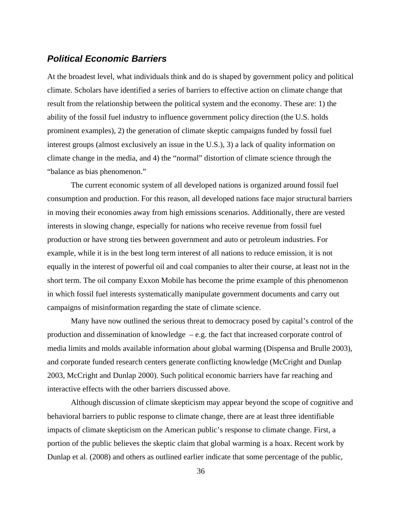### *Political Economic Barriers*

At the broadest level, what individuals think and do is shaped by government policy and political climate. Scholars have identified a series of barriers to effective action on climate change that result from the relationship between the political system and the economy. These are: 1) the ability of the fossil fuel industry to influence government policy direction (the U.S. holds prominent examples), 2) the generation of climate skeptic campaigns funded by fossil fuel interest groups (almost exclusively an issue in the U.S.), 3) a lack of quality information on climate change in the media, and 4) the "normal" distortion of climate science through the "balance as bias phenomenon."

 The current economic system of all developed nations is organized around fossil fuel consumption and production. For this reason, all developed nations face major structural barriers in moving their economies away from high emissions scenarios. Additionally, there are vested interests in slowing change, especially for nations who receive revenue from fossil fuel production or have strong ties between government and auto or petroleum industries. For example, while it is in the best long term interest of all nations to reduce emission, it is not equally in the interest of powerful oil and coal companies to alter their course, at least not in the short term. The oil company Exxon Mobile has become the prime example of this phenomenon in which fossil fuel interests systematically manipulate government documents and carry out campaigns of misinformation regarding the state of climate science.

 Many have now outlined the serious threat to democracy posed by capital's control of the production and dissemination of knowledge – e.g. the fact that increased corporate control of media limits and molds available information about global warming (Dispensa and Brulle 2003), and corporate funded research centers generate conflicting knowledge (McCright and Dunlap 2003, McCright and Dunlap 2000). Such political economic barriers have far reaching and interactive effects with the other barriers discussed above.

 Although discussion of climate skepticism may appear beyond the scope of cognitive and behavioral barriers to public response to climate change, there are at least three identifiable impacts of climate skepticism on the American public's response to climate change. First, a portion of the public believes the skeptic claim that global warming is a hoax. Recent work by Dunlap et al. (2008) and others as outlined earlier indicate that some percentage of the public,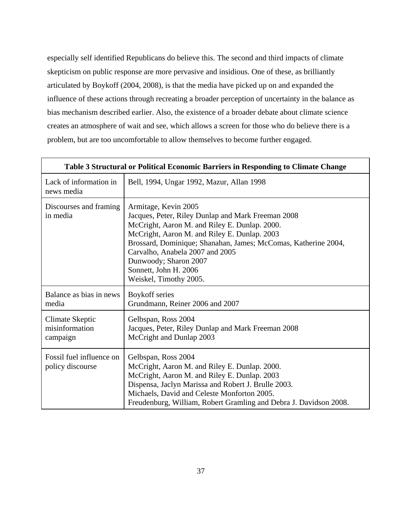especially self identified Republicans do believe this. The second and third impacts of climate skepticism on public response are more pervasive and insidious. One of these, as brilliantly articulated by Boykoff (2004, 2008), is that the media have picked up on and expanded the influence of these actions through recreating a broader perception of uncertainty in the balance as bias mechanism described earlier. Also, the existence of a broader debate about climate science creates an atmosphere of wait and see, which allows a screen for those who do believe there is a problem, but are too uncomfortable to allow themselves to become further engaged.

| Table 3 Structural or Political Economic Barriers in Responding to Climate Change |                                                                                                                                                                                                                                                                                                                                                              |  |  |  |
|-----------------------------------------------------------------------------------|--------------------------------------------------------------------------------------------------------------------------------------------------------------------------------------------------------------------------------------------------------------------------------------------------------------------------------------------------------------|--|--|--|
| Lack of information in<br>news media                                              | Bell, 1994, Ungar 1992, Mazur, Allan 1998                                                                                                                                                                                                                                                                                                                    |  |  |  |
| Discourses and framing<br>in media                                                | Armitage, Kevin 2005<br>Jacques, Peter, Riley Dunlap and Mark Freeman 2008<br>McCright, Aaron M. and Riley E. Dunlap. 2000.<br>McCright, Aaron M. and Riley E. Dunlap. 2003<br>Brossard, Dominique; Shanahan, James; McComas, Katherine 2004,<br>Carvalho, Anabela 2007 and 2005<br>Dunwoody; Sharon 2007<br>Sonnett, John H. 2006<br>Weiskel, Timothy 2005. |  |  |  |
| Balance as bias in news<br>media                                                  | Boykoff series<br>Grundmann, Reiner 2006 and 2007                                                                                                                                                                                                                                                                                                            |  |  |  |
| <b>Climate Skeptic</b><br>misinformation<br>campaign                              | Gelbspan, Ross 2004<br>Jacques, Peter, Riley Dunlap and Mark Freeman 2008<br>McCright and Dunlap 2003                                                                                                                                                                                                                                                        |  |  |  |
| Fossil fuel influence on<br>policy discourse                                      | Gelbspan, Ross 2004<br>McCright, Aaron M. and Riley E. Dunlap. 2000.<br>McCright, Aaron M. and Riley E. Dunlap. 2003<br>Dispensa, Jaclyn Marissa and Robert J. Brulle 2003.<br>Michaels, David and Celeste Monforton 2005.<br>Freudenburg, William, Robert Gramling and Debra J. Davidson 2008.                                                              |  |  |  |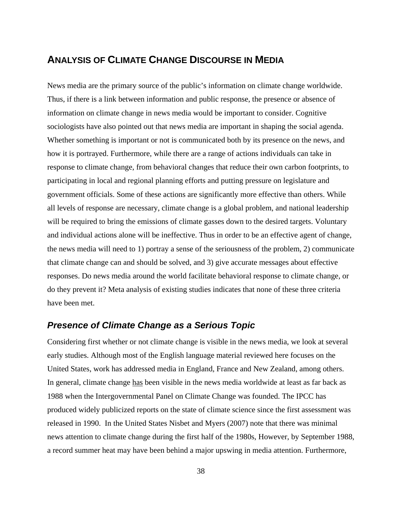# **ANALYSIS OF CLIMATE CHANGE DISCOURSE IN MEDIA**

News media are the primary source of the public's information on climate change worldwide. Thus, if there is a link between information and public response, the presence or absence of information on climate change in news media would be important to consider. Cognitive sociologists have also pointed out that news media are important in shaping the social agenda. Whether something is important or not is communicated both by its presence on the news, and how it is portrayed. Furthermore, while there are a range of actions individuals can take in response to climate change, from behavioral changes that reduce their own carbon footprints, to participating in local and regional planning efforts and putting pressure on legislature and government officials. Some of these actions are significantly more effective than others. While all levels of response are necessary, climate change is a global problem, and national leadership will be required to bring the emissions of climate gasses down to the desired targets. Voluntary and individual actions alone will be ineffective. Thus in order to be an effective agent of change, the news media will need to 1) portray a sense of the seriousness of the problem, 2) communicate that climate change can and should be solved, and 3) give accurate messages about effective responses. Do news media around the world facilitate behavioral response to climate change, or do they prevent it? Meta analysis of existing studies indicates that none of these three criteria have been met.

### *Presence of Climate Change as a Serious Topic*

Considering first whether or not climate change is visible in the news media, we look at several early studies. Although most of the English language material reviewed here focuses on the United States, work has addressed media in England, France and New Zealand, among others. In general, climate change has been visible in the news media worldwide at least as far back as 1988 when the Intergovernmental Panel on Climate Change was founded. The IPCC has produced widely publicized reports on the state of climate science since the first assessment was released in 1990. In the United States Nisbet and Myers (2007) note that there was minimal news attention to climate change during the first half of the 1980s, However, by September 1988, a record summer heat may have been behind a major upswing in media attention. Furthermore,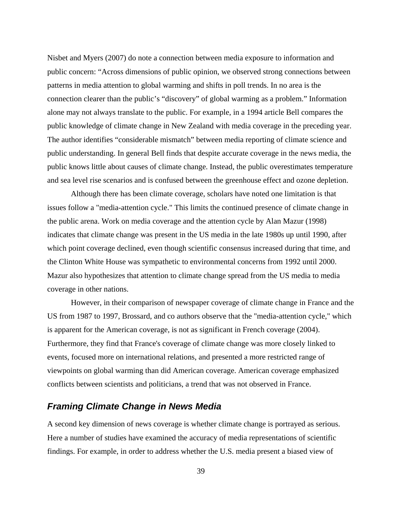Nisbet and Myers (2007) do note a connection between media exposure to information and public concern: "Across dimensions of public opinion, we observed strong connections between patterns in media attention to global warming and shifts in poll trends. In no area is the connection clearer than the public's "discovery" of global warming as a problem." Information alone may not always translate to the public. For example, in a 1994 article Bell compares the public knowledge of climate change in New Zealand with media coverage in the preceding year. The author identifies "considerable mismatch" between media reporting of climate science and public understanding. In general Bell finds that despite accurate coverage in the news media, the public knows little about causes of climate change. Instead, the public overestimates temperature and sea level rise scenarios and is confused between the greenhouse effect and ozone depletion.

 Although there has been climate coverage, scholars have noted one limitation is that issues follow a "media-attention cycle." This limits the continued presence of climate change in the public arena. Work on media coverage and the attention cycle by Alan Mazur (1998) indicates that climate change was present in the US media in the late 1980s up until 1990, after which point coverage declined, even though scientific consensus increased during that time, and the Clinton White House was sympathetic to environmental concerns from 1992 until 2000. Mazur also hypothesizes that attention to climate change spread from the US media to media coverage in other nations.

 However, in their comparison of newspaper coverage of climate change in France and the US from 1987 to 1997, Brossard, and co authors observe that the "media-attention cycle," which is apparent for the American coverage, is not as significant in French coverage (2004). Furthermore, they find that France's coverage of climate change was more closely linked to events, focused more on international relations, and presented a more restricted range of viewpoints on global warming than did American coverage. American coverage emphasized conflicts between scientists and politicians, a trend that was not observed in France.

### *Framing Climate Change in News Media*

A second key dimension of news coverage is whether climate change is portrayed as serious. Here a number of studies have examined the accuracy of media representations of scientific findings. For example, in order to address whether the U.S. media present a biased view of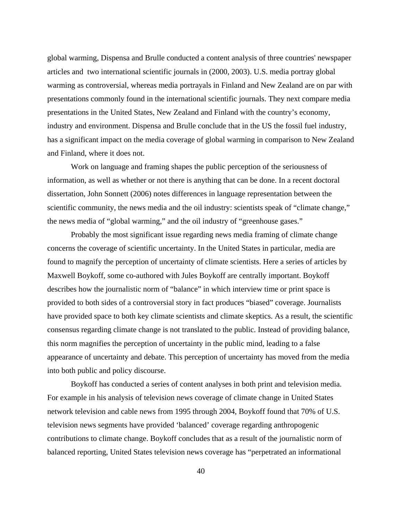global warming, Dispensa and Brulle conducted a content analysis of three countries' newspaper articles and two international scientific journals in (2000, 2003). U.S. media portray global warming as controversial, whereas media portrayals in Finland and New Zealand are on par with presentations commonly found in the international scientific journals. They next compare media presentations in the United States, New Zealand and Finland with the country's economy, industry and environment. Dispensa and Brulle conclude that in the US the fossil fuel industry, has a significant impact on the media coverage of global warming in comparison to New Zealand and Finland, where it does not.

 Work on language and framing shapes the public perception of the seriousness of information, as well as whether or not there is anything that can be done. In a recent doctoral dissertation, John Sonnett (2006) notes differences in language representation between the scientific community, the news media and the oil industry: scientists speak of "climate change," the news media of "global warming," and the oil industry of "greenhouse gases."

 Probably the most significant issue regarding news media framing of climate change concerns the coverage of scientific uncertainty. In the United States in particular, media are found to magnify the perception of uncertainty of climate scientists. Here a series of articles by Maxwell Boykoff, some co-authored with Jules Boykoff are centrally important. Boykoff describes how the journalistic norm of "balance" in which interview time or print space is provided to both sides of a controversial story in fact produces "biased" coverage. Journalists have provided space to both key climate scientists and climate skeptics. As a result, the scientific consensus regarding climate change is not translated to the public. Instead of providing balance, this norm magnifies the perception of uncertainty in the public mind, leading to a false appearance of uncertainty and debate. This perception of uncertainty has moved from the media into both public and policy discourse.

 Boykoff has conducted a series of content analyses in both print and television media. For example in his analysis of television news coverage of climate change in United States network television and cable news from 1995 through 2004, Boykoff found that 70% of U.S. television news segments have provided 'balanced' coverage regarding anthropogenic contributions to climate change. Boykoff concludes that as a result of the journalistic norm of balanced reporting, United States television news coverage has "perpetrated an informational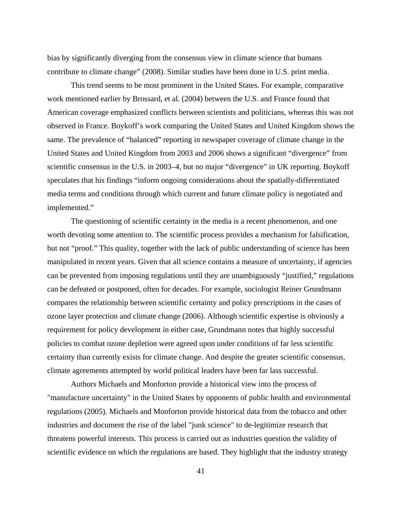bias by significantly diverging from the consensus view in climate science that humans contribute to climate change" (2008). Similar studies have been done in U.S. print media.

 This trend seems to be most prominent in the United States. For example, comparative work mentioned earlier by Brossard, et al. (2004) between the U.S. and France found that American coverage emphasized conflicts between scientists and politicians, whereas this was not observed in France. Boykoff's work comparing the United States and United Kingdom shows the same. The prevalence of "balanced" reporting in newspaper coverage of climate change in the United States and United Kingdom from 2003 and 2006 shows a significant "divergence" from scientific consensus in the U.S. in 2003–4, but no major "divergence" in UK reporting. Boykoff speculates that his findings "inform ongoing considerations about the spatially-differentiated media terms and conditions through which current and future climate policy is negotiated and implemented."

 The questioning of scientific certainty in the media is a recent phenomenon, and one worth devoting some attention to. The scientific process provides a mechanism for falsification, but not "proof." This quality, together with the lack of public understanding of science has been manipulated in recent years. Given that all science contains a measure of uncertainty, if agencies can be prevented from imposing regulations until they are unambiguously "justified," regulations can be defeated or postponed, often for decades. For example, sociologist Reiner Grundmann compares the relationship between scientific certainty and policy prescriptions in the cases of ozone layer protection and climate change (2006). Although scientific expertise is obviously a requirement for policy development in either case, Grundmann notes that highly successful policies to combat ozone depletion were agreed upon under conditions of far less scientific certainty than currently exists for climate change. And despite the greater scientific consensus, climate agreements attempted by world political leaders have been far lass successful.

 Authors Michaels and Monforton provide a historical view into the process of "manufacture uncertainty" in the United States by opponents of public health and environmental regulations (2005). Michaels and Monforton provide historical data from the tobacco and other industries and document the rise of the label "junk science" to de-legitimize research that threatens powerful interests. This process is carried out as industries question the validity of scientific evidence on which the regulations are based. They highlight that the industry strategy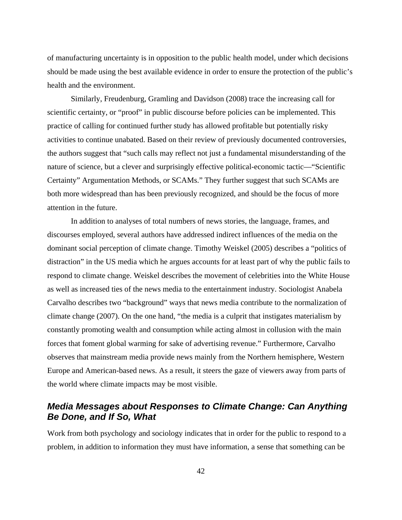of manufacturing uncertainty is in opposition to the public health model, under which decisions should be made using the best available evidence in order to ensure the protection of the public's health and the environment.

 Similarly, Freudenburg, Gramling and Davidson (2008) trace the increasing call for scientific certainty, or "proof" in public discourse before policies can be implemented. This practice of calling for continued further study has allowed profitable but potentially risky activities to continue unabated. Based on their review of previously documented controversies, the authors suggest that "such calls may reflect not just a fundamental misunderstanding of the nature of science, but a clever and surprisingly effective political-economic tactic—"Scientific Certainty" Argumentation Methods, or SCAMs." They further suggest that such SCAMs are both more widespread than has been previously recognized, and should be the focus of more attention in the future.

 In addition to analyses of total numbers of news stories, the language, frames, and discourses employed, several authors have addressed indirect influences of the media on the dominant social perception of climate change. Timothy Weiskel (2005) describes a "politics of distraction" in the US media which he argues accounts for at least part of why the public fails to respond to climate change. Weiskel describes the movement of celebrities into the White House as well as increased ties of the news media to the entertainment industry. Sociologist Anabela Carvalho describes two "background" ways that news media contribute to the normalization of climate change (2007). On the one hand, "the media is a culprit that instigates materialism by constantly promoting wealth and consumption while acting almost in collusion with the main forces that foment global warming for sake of advertising revenue." Furthermore, Carvalho observes that mainstream media provide news mainly from the Northern hemisphere, Western Europe and American-based news. As a result, it steers the gaze of viewers away from parts of the world where climate impacts may be most visible.

## *Media Messages about Responses to Climate Change: Can Anything Be Done, and If So, What*

Work from both psychology and sociology indicates that in order for the public to respond to a problem, in addition to information they must have information, a sense that something can be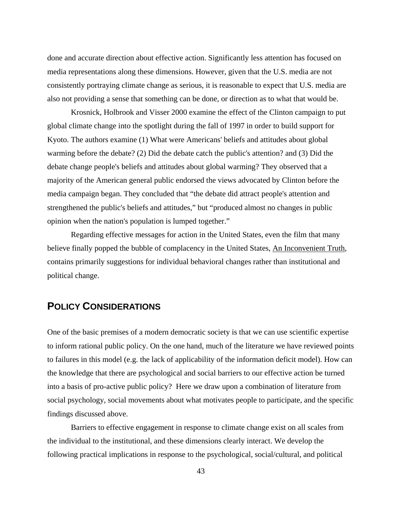done and accurate direction about effective action. Significantly less attention has focused on media representations along these dimensions. However, given that the U.S. media are not consistently portraying climate change as serious, it is reasonable to expect that U.S. media are also not providing a sense that something can be done, or direction as to what that would be.

 Krosnick, Holbrook and Visser 2000 examine the effect of the Clinton campaign to put global climate change into the spotlight during the fall of 1997 in order to build support for Kyoto. The authors examine (1) What were Americans' beliefs and attitudes about global warming before the debate? (2) Did the debate catch the public's attention? and (3) Did the debate change people's beliefs and attitudes about global warming? They observed that a majority of the American general public endorsed the views advocated by Clinton before the media campaign began. They concluded that "the debate did attract people's attention and strengthened the public's beliefs and attitudes," but "produced almost no changes in public opinion when the nation's population is lumped together."

 Regarding effective messages for action in the United States, even the film that many believe finally popped the bubble of complacency in the United States, An Inconvenient Truth, contains primarily suggestions for individual behavioral changes rather than institutional and political change.

# **POLICY CONSIDERATIONS**

One of the basic premises of a modern democratic society is that we can use scientific expertise to inform rational public policy. On the one hand, much of the literature we have reviewed points to failures in this model (e.g. the lack of applicability of the information deficit model). How can the knowledge that there are psychological and social barriers to our effective action be turned into a basis of pro-active public policy? Here we draw upon a combination of literature from social psychology, social movements about what motivates people to participate, and the specific findings discussed above.

Barriers to effective engagement in response to climate change exist on all scales from the individual to the institutional, and these dimensions clearly interact. We develop the following practical implications in response to the psychological, social/cultural, and political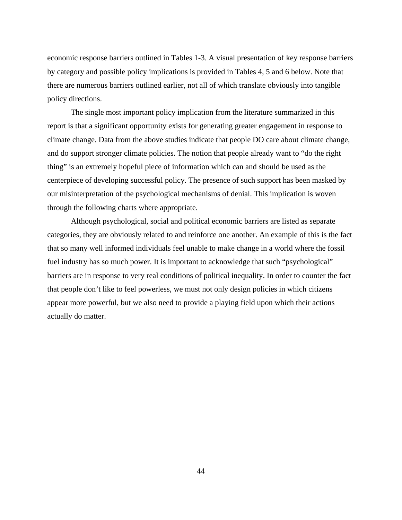economic response barriers outlined in Tables 1-3. A visual presentation of key response barriers by category and possible policy implications is provided in Tables 4, 5 and 6 below. Note that there are numerous barriers outlined earlier, not all of which translate obviously into tangible policy directions.

The single most important policy implication from the literature summarized in this report is that a significant opportunity exists for generating greater engagement in response to climate change. Data from the above studies indicate that people DO care about climate change, and do support stronger climate policies. The notion that people already want to "do the right thing" is an extremely hopeful piece of information which can and should be used as the centerpiece of developing successful policy. The presence of such support has been masked by our misinterpretation of the psychological mechanisms of denial. This implication is woven through the following charts where appropriate.

Although psychological, social and political economic barriers are listed as separate categories, they are obviously related to and reinforce one another. An example of this is the fact that so many well informed individuals feel unable to make change in a world where the fossil fuel industry has so much power. It is important to acknowledge that such "psychological" barriers are in response to very real conditions of political inequality. In order to counter the fact that people don't like to feel powerless, we must not only design policies in which citizens appear more powerful, but we also need to provide a playing field upon which their actions actually do matter.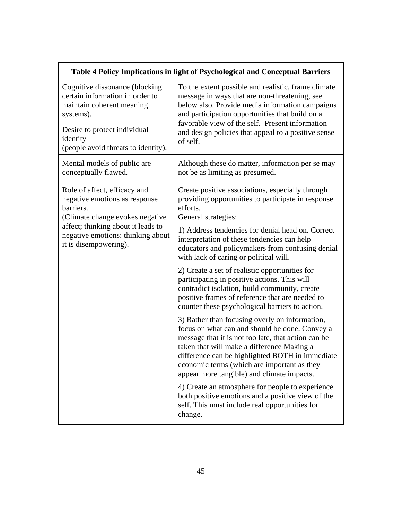| Table 4 Policy Implications in light of Psychological and Conceptual Barriers                                 |                                                                                                                                                                                                                                                                                                                                                       |  |  |
|---------------------------------------------------------------------------------------------------------------|-------------------------------------------------------------------------------------------------------------------------------------------------------------------------------------------------------------------------------------------------------------------------------------------------------------------------------------------------------|--|--|
| Cognitive dissonance (blocking<br>certain information in order to<br>maintain coherent meaning<br>systems).   | To the extent possible and realistic, frame climate<br>message in ways that are non-threatening, see<br>below also. Provide media information campaigns<br>and participation opportunities that build on a                                                                                                                                            |  |  |
| Desire to protect individual<br>identity<br>(people avoid threats to identity).                               | favorable view of the self. Present information<br>and design policies that appeal to a positive sense<br>of self.                                                                                                                                                                                                                                    |  |  |
| Mental models of public are<br>conceptually flawed.                                                           | Although these do matter, information per se may<br>not be as limiting as presumed.                                                                                                                                                                                                                                                                   |  |  |
| Role of affect, efficacy and<br>negative emotions as response<br>barriers.<br>(Climate change evokes negative | Create positive associations, especially through<br>providing opportunities to participate in response<br>efforts.<br>General strategies:                                                                                                                                                                                                             |  |  |
| affect; thinking about it leads to<br>negative emotions; thinking about<br>it is disempowering).              | 1) Address tendencies for denial head on. Correct<br>interpretation of these tendencies can help<br>educators and policymakers from confusing denial<br>with lack of caring or political will.                                                                                                                                                        |  |  |
|                                                                                                               | 2) Create a set of realistic opportunities for<br>participating in positive actions. This will<br>contradict isolation, build community, create<br>positive frames of reference that are needed to<br>counter these psychological barriers to action.                                                                                                 |  |  |
|                                                                                                               | 3) Rather than focusing overly on information,<br>focus on what can and should be done. Convey a<br>message that it is not too late, that action can be<br>taken that will make a difference Making a<br>difference can be highlighted BOTH in immediate<br>economic terms (which are important as they<br>appear more tangible) and climate impacts. |  |  |
|                                                                                                               | 4) Create an atmosphere for people to experience<br>both positive emotions and a positive view of the<br>self. This must include real opportunities for<br>change.                                                                                                                                                                                    |  |  |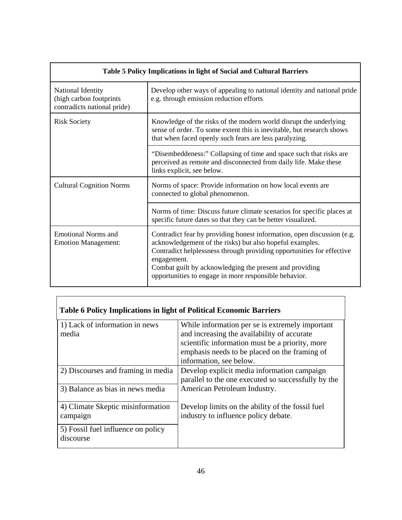| Table 5 Policy Implications in light of Social and Cultural Barriers        |                                                                                                                                                                                                                                                                                                                                                |  |  |  |
|-----------------------------------------------------------------------------|------------------------------------------------------------------------------------------------------------------------------------------------------------------------------------------------------------------------------------------------------------------------------------------------------------------------------------------------|--|--|--|
| National Identity<br>(high carbon footprints<br>contradicts national pride) | Develop other ways of appealing to national identity and national pride<br>e.g. through emission reduction efforts                                                                                                                                                                                                                             |  |  |  |
| <b>Risk Society</b>                                                         | Knowledge of the risks of the modern world disrupt the underlying<br>sense of order. To some extent this is inevitable, but research shows<br>that when faced openly such fears are less paralyzing.                                                                                                                                           |  |  |  |
|                                                                             | "Disembeddeness:" Collapsing of time and space such that risks are<br>perceived as remote and disconnected from daily life. Make these<br>links explicit, see below.                                                                                                                                                                           |  |  |  |
| <b>Cultural Cognition Norms</b>                                             | Norms of space: Provide information on how local events are<br>connected to global phenomenon.                                                                                                                                                                                                                                                 |  |  |  |
|                                                                             | Norms of time: Discuss future climate scenarios for specific places at<br>specific future dates so that they can be better visualized.                                                                                                                                                                                                         |  |  |  |
| <b>Emotional Norms and</b><br><b>Emotion Management:</b>                    | Contradict fear by providing honest information, open discussion (e.g.<br>acknowledgement of the risks) but also hopeful examples.<br>Contradict helplessness through providing opportunities for effective<br>engagement.<br>Combat guilt by acknowledging the present and providing<br>opportunities to engage in more responsible behavior. |  |  |  |

| <b>Table 6 Policy Implications in light of Political Economic Barriers</b> |                                                                                                                                                                                                                               |  |  |
|----------------------------------------------------------------------------|-------------------------------------------------------------------------------------------------------------------------------------------------------------------------------------------------------------------------------|--|--|
| 1) Lack of information in news<br>media                                    | While information per se is extremely important<br>and increasing the availability of accurate<br>scientific information must be a priority, more<br>emphasis needs to be placed on the framing of<br>information, see below. |  |  |
| 2) Discourses and framing in media                                         | Develop explicit media information campaign<br>parallel to the one executed so successfully by the                                                                                                                            |  |  |
| 3) Balance as bias in news media                                           | American Petroleum Industry.                                                                                                                                                                                                  |  |  |
| 4) Climate Skeptic misinformation<br>campaign                              | Develop limits on the ability of the fossil fuel<br>industry to influence policy debate.                                                                                                                                      |  |  |
| 5) Fossil fuel influence on policy<br>discourse                            |                                                                                                                                                                                                                               |  |  |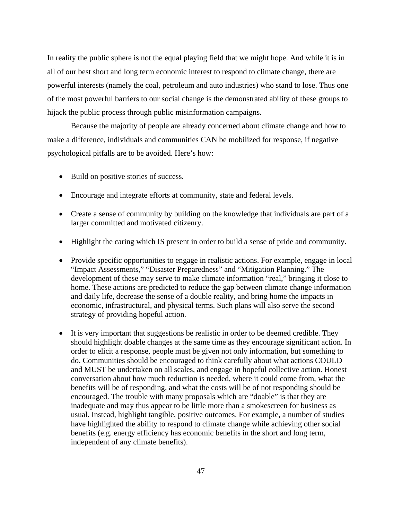In reality the public sphere is not the equal playing field that we might hope. And while it is in all of our best short and long term economic interest to respond to climate change, there are powerful interests (namely the coal, petroleum and auto industries) who stand to lose. Thus one of the most powerful barriers to our social change is the demonstrated ability of these groups to hijack the public process through public misinformation campaigns.

Because the majority of people are already concerned about climate change and how to make a difference, individuals and communities CAN be mobilized for response, if negative psychological pitfalls are to be avoided. Here's how:

- Build on positive stories of success.
- Encourage and integrate efforts at community, state and federal levels.
- Create a sense of community by building on the knowledge that individuals are part of a larger committed and motivated citizenry.
- Highlight the caring which IS present in order to build a sense of pride and community.
- Provide specific opportunities to engage in realistic actions. For example, engage in local "Impact Assessments," "Disaster Preparedness" and "Mitigation Planning." The development of these may serve to make climate information "real," bringing it close to home. These actions are predicted to reduce the gap between climate change information and daily life, decrease the sense of a double reality, and bring home the impacts in economic, infrastructural, and physical terms. Such plans will also serve the second strategy of providing hopeful action.
- It is very important that suggestions be realistic in order to be deemed credible. They should highlight doable changes at the same time as they encourage significant action. In order to elicit a response, people must be given not only information, but something to do. Communities should be encouraged to think carefully about what actions COULD and MUST be undertaken on all scales, and engage in hopeful collective action. Honest conversation about how much reduction is needed, where it could come from, what the benefits will be of responding, and what the costs will be of not responding should be encouraged. The trouble with many proposals which are "doable" is that they are inadequate and may thus appear to be little more than a smokescreen for business as usual. Instead, highlight tangible, positive outcomes. For example, a number of studies have highlighted the ability to respond to climate change while achieving other social benefits (e.g. energy efficiency has economic benefits in the short and long term, independent of any climate benefits).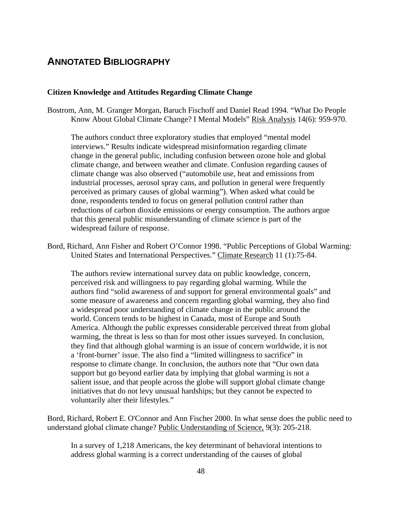# **ANNOTATED BIBLIOGRAPHY**

#### **Citizen Knowledge and Attitudes Regarding Climate Change**

Bostrom, Ann, M. Granger Morgan, Baruch Fischoff and Daniel Read 1994. "What Do People Know About Global Climate Change? I Mental Models" Risk Analysis 14(6): 959-970.

The authors conduct three exploratory studies that employed "mental model interviews." Results indicate widespread misinformation regarding climate change in the general public, including confusion between ozone hole and global climate change, and between weather and climate. Confusion regarding causes of climate change was also observed ("automobile use, heat and emissions from industrial processes, aerosol spray cans, and pollution in general were frequently perceived as primary causes of global warming"). When asked what could be done, respondents tended to focus on general pollution control rather than reductions of carbon dioxide emissions or energy consumption. The authors argue that this general public misunderstanding of climate science is part of the widespread failure of response.

Bord, Richard, Ann Fisher and Robert O'Connor 1998. "Public Perceptions of Global Warming: United States and International Perspectives." Climate Research 11 (1):75-84.

The authors review international survey data on public knowledge, concern, perceived risk and willingness to pay regarding global warming. While the authors find "solid awareness of and support for general environmental goals" and some measure of awareness and concern regarding global warming, they also find a widespread poor understanding of climate change in the public around the world. Concern tends to be highest in Canada, most of Europe and South America. Although the public expresses considerable perceived threat from global warming, the threat is less so than for most other issues surveyed. In conclusion, they find that although global warming is an issue of concern worldwide, it is not a 'front-burner' issue. The also find a "limited willingness to sacrifice" in response to climate change. In conclusion, the authors note that "Our own data support but go beyond earlier data by implying that global warming is not a salient issue, and that people across the globe will support global climate change initiatives that do not levy unusual hardships; but they cannot be expected to voluntarily alter their lifestyles."

Bord, Richard, Robert E. O'Connor and Ann Fischer 2000. In what sense does the public need to understand global climate change? Public Understanding of Science, 9(3): 205-218.

In a survey of 1,218 Americans, the key determinant of behavioral intentions to address global warming is a correct understanding of the causes of global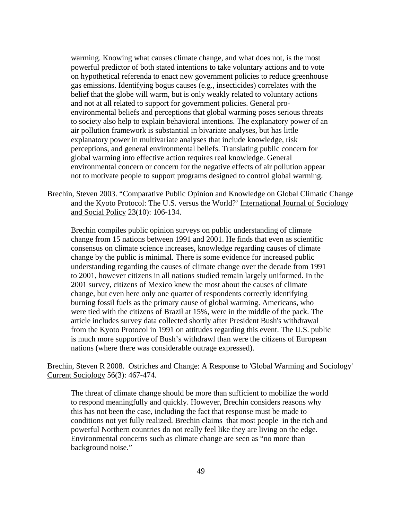warming. Knowing what causes climate change, and what does not, is the most powerful predictor of both stated intentions to take voluntary actions and to vote on hypothetical referenda to enact new government policies to reduce greenhouse gas emissions. Identifying bogus causes (e.g., insecticides) correlates with the belief that the globe will warm, but is only weakly related to voluntary actions and not at all related to support for government policies. General proenvironmental beliefs and perceptions that global warming poses serious threats to society also help to explain behavioral intentions. The explanatory power of an air pollution framework is substantial in bivariate analyses, but has little explanatory power in multivariate analyses that include knowledge, risk perceptions, and general environmental beliefs. Translating public concern for global warming into effective action requires real knowledge. General environmental concern or concern for the negative effects of air pollution appear not to motivate people to support programs designed to control global warming.

Brechin, Steven 2003. "Comparative Public Opinion and Knowledge on Global Climatic Change and the Kyoto Protocol: The U.S. versus the World?' International Journal of Sociology and Social Policy 23(10): 106-134.

Brechin compiles public opinion surveys on public understanding of climate change from 15 nations between 1991 and 2001. He finds that even as scientific consensus on climate science increases, knowledge regarding causes of climate change by the public is minimal. There is some evidence for increased public understanding regarding the causes of climate change over the decade from 1991 to 2001, however citizens in all nations studied remain largely uniformed. In the 2001 survey, citizens of Mexico knew the most about the causes of climate change, but even here only one quarter of respondents correctly identifying burning fossil fuels as the primary cause of global warming. Americans, who were tied with the citizens of Brazil at 15%, were in the middle of the pack. The article includes survey data collected shortly after President Bush's withdrawal from the Kyoto Protocol in 1991 on attitudes regarding this event. The U.S. public is much more supportive of Bush's withdrawl than were the citizens of European nations (where there was considerable outrage expressed).

Brechin, Steven R 2008. Ostriches and Change: A Response to 'Global Warming and Sociology' Current Sociology 56(3): 467-474.

The threat of climate change should be more than sufficient to mobilize the world to respond meaningfully and quickly. However, Brechin considers reasons why this has not been the case, including the fact that response must be made to conditions not yet fully realized. Brechin claims that most people in the rich and powerful Northern countries do not really feel like they are living on the edge. Environmental concerns such as climate change are seen as "no more than background noise."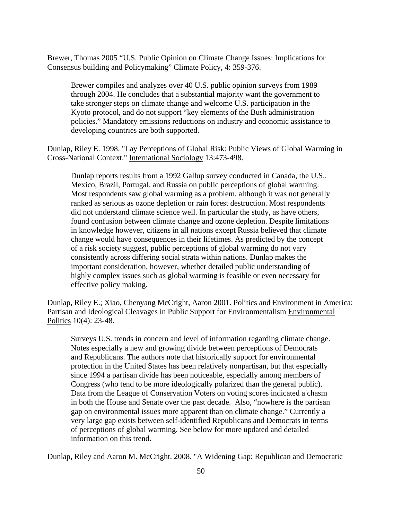Brewer, Thomas 2005 "U.S. Public Opinion on Climate Change Issues: Implications for Consensus building and Policymaking" Climate Policy, 4: 359-376.

Brewer compiles and analyzes over 40 U.S. public opinion surveys from 1989 through 2004. He concludes that a substantial majority want the government to take stronger steps on climate change and welcome U.S. participation in the Kyoto protocol, and do not support "key elements of the Bush administration policies." Mandatory emissions reductions on industry and economic assistance to developing countries are both supported.

Dunlap, Riley E. 1998. "Lay Perceptions of Global Risk: Public Views of Global Warming in Cross-National Context." International Sociology 13:473-498.

Dunlap reports results from a 1992 Gallup survey conducted in Canada, the U.S., Mexico, Brazil, Portugal, and Russia on public perceptions of global warming. Most respondents saw global warming as a problem, although it was not generally ranked as serious as ozone depletion or rain forest destruction. Most respondents did not understand climate science well. In particular the study, as have others, found confusion between climate change and ozone depletion. Despite limitations in knowledge however, citizens in all nations except Russia believed that climate change would have consequences in their lifetimes. As predicted by the concept of a risk society suggest, public perceptions of global warming do not vary consistently across differing social strata within nations. Dunlap makes the important consideration, however, whether detailed public understanding of highly complex issues such as global warming is feasible or even necessary for effective policy making.

Dunlap, Riley E.; Xiao, Chenyang McCright, Aaron 2001. Politics and Environment in America: Partisan and Ideological Cleavages in Public Support for Environmentalism Environmental Politics 10(4): 23-48.

Surveys U.S. trends in concern and level of information regarding climate change. Notes especially a new and growing divide between perceptions of Democrats and Republicans. The authors note that historically support for environmental protection in the United States has been relatively nonpartisan, but that especially since 1994 a partisan divide has been noticeable, especially among members of Congress (who tend to be more ideologically polarized than the general public). Data from the League of Conservation Voters on voting scores indicated a chasm in both the House and Senate over the past decade. Also, "nowhere is the partisan gap on environmental issues more apparent than on climate change." Currently a very large gap exists between self-identified Republicans and Democrats in terms of perceptions of global warming. See below for more updated and detailed information on this trend.

Dunlap, Riley and Aaron M. McCright. 2008. "A Widening Gap: Republican and Democratic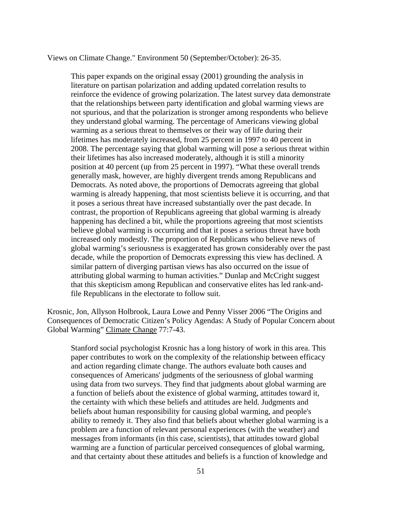Views on Climate Change." Environment 50 (September/October): 26-35.

This paper expands on the original essay (2001) grounding the analysis in literature on partisan polarization and adding updated correlation results to reinforce the evidence of growing polarization. The latest survey data demonstrate that the relationships between party identification and global warming views are not spurious, and that the polarization is stronger among respondents who believe they understand global warming. The percentage of Americans viewing global warming as a serious threat to themselves or their way of life during their lifetimes has moderately increased, from 25 percent in 1997 to 40 percent in 2008. The percentage saying that global warming will pose a serious threat within their lifetimes has also increased moderately, although it is still a minority position at 40 percent (up from 25 percent in 1997). "What these overall trends generally mask, however, are highly divergent trends among Republicans and Democrats. As noted above, the proportions of Democrats agreeing that global warming is already happening, that most scientists believe it is occurring, and that it poses a serious threat have increased substantially over the past decade. In contrast, the proportion of Republicans agreeing that global warming is already happening has declined a bit, while the proportions agreeing that most scientists believe global warming is occurring and that it poses a serious threat have both increased only modestly. The proportion of Republicans who believe news of global warming's seriousness is exaggerated has grown considerably over the past decade, while the proportion of Democrats expressing this view has declined. A similar pattern of diverging partisan views has also occurred on the issue of attributing global warming to human activities." Dunlap and McCright suggest that this skepticism among Republican and conservative elites has led rank-andfile Republicans in the electorate to follow suit.

Krosnic, Jon, Allyson Holbrook, Laura Lowe and Penny Visser 2006 "The Origins and Consequences of Democratic Citizen's Policy Agendas: A Study of Popular Concern about Global Warming" Climate Change 77:7-43.

Stanford social psychologist Krosnic has a long history of work in this area. This paper contributes to work on the complexity of the relationship between efficacy and action regarding climate change. The authors evaluate both causes and consequences of Americans' judgments of the seriousness of global warming using data from two surveys. They find that judgments about global warming are a function of beliefs about the existence of global warming, attitudes toward it, the certainty with which these beliefs and attitudes are held. Judgments and beliefs about human responsibility for causing global warming, and people's ability to remedy it. They also find that beliefs about whether global warming is a problem are a function of relevant personal experiences (with the weather) and messages from informants (in this case, scientists), that attitudes toward global warming are a function of particular perceived consequences of global warming, and that certainty about these attitudes and beliefs is a function of knowledge and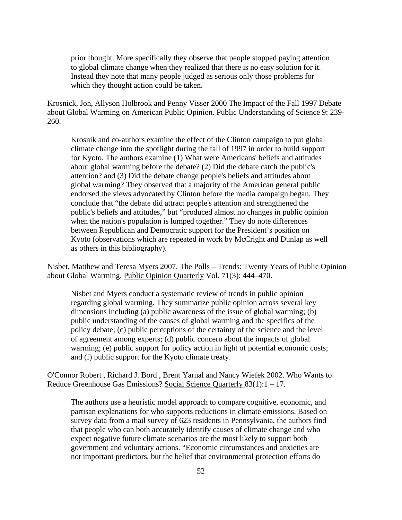prior thought. More specifically they observe that people stopped paying attention to global climate change when they realized that there is no easy solution for it. Instead they note that many people judged as serious only those problems for which they thought action could be taken.

Krosnick, Jon, Allyson Holbrook and Penny Visser 2000 The Impact of the Fall 1997 Debate about Global Warming on American Public Opinion. Public Understanding of Science 9: 239- 260.

Krosnik and co-authors examine the effect of the Clinton campaign to put global climate change into the spotlight during the fall of 1997 in order to build support for Kyoto. The authors examine (1) What were Americans' beliefs and attitudes about global warming before the debate? (2) Did the debate catch the public's attention? and (3) Did the debate change people's beliefs and attitudes about global warming? They observed that a majority of the American general public endorsed the views advocated by Clinton before the media campaign began. They conclude that "the debate did attract people's attention and strengthened the public's beliefs and attitudes," but "produced almost no changes in public opinion when the nation's population is lumped together." They do note differences between Republican and Democratic support for the President's position on Kyoto (observations which are repeated in work by McCright and Dunlap as well as others in this bibliography).

Nisbet, Matthew and Teresa Myers 2007. The Polls – Trends: Twenty Years of Public Opinion about Global Warming. Public Opinion Quarterly Vol. 71(3): 444–470.

Nisbet and Myers conduct a systematic review of trends in public opinion regarding global warming. They summarize public opinion across several key dimensions including (a) public awareness of the issue of global warming; (b) public understanding of the causes of global warming and the specifics of the policy debate; (c) public perceptions of the certainty of the science and the level of agreement among experts; (d) public concern about the impacts of global warming; (e) public support for policy action in light of potential economic costs; and (f) public support for the Kyoto climate treaty.

O'Connor Robert , Richard J. Bord , Brent Yarnal and Nancy Wiefek 2002. Who Wants to Reduce Greenhouse Gas Emissions? Social Science Quarterly 83(1):1 – 17.

The authors use a heuristic model approach to compare cognitive, economic, and partisan explanations for who supports reductions in climate emissions. Based on survey data from a mail survey of 623 residents in Pennsylvania, the authors find that people who can both accurately identify causes of climate change and who expect negative future climate scenarios are the most likely to support both government and voluntary actions. "Economic circumstances and anxieties are not important predictors, but the belief that environmental protection efforts do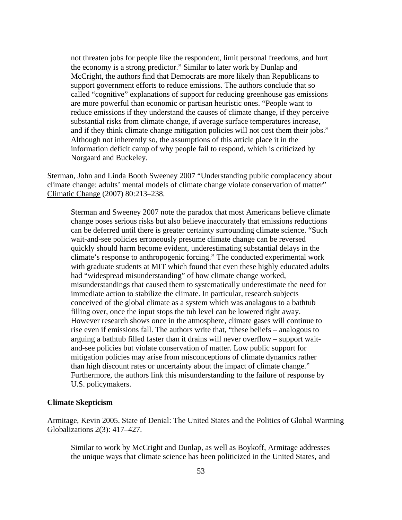not threaten jobs for people like the respondent, limit personal freedoms, and hurt the economy is a strong predictor." Similar to later work by Dunlap and McCright, the authors find that Democrats are more likely than Republicans to support government efforts to reduce emissions. The authors conclude that so called "cognitive" explanations of support for reducing greenhouse gas emissions are more powerful than economic or partisan heuristic ones. "People want to reduce emissions if they understand the causes of climate change, if they perceive substantial risks from climate change, if average surface temperatures increase, and if they think climate change mitigation policies will not cost them their jobs." Although not inherently so, the assumptions of this article place it in the information deficit camp of why people fail to respond, which is criticized by Norgaard and Buckeley.

Sterman, John and Linda Booth Sweeney 2007 "Understanding public complacency about climate change: adults' mental models of climate change violate conservation of matter" Climatic Change (2007) 80:213–238.

Sterman and Sweeney 2007 note the paradox that most Americans believe climate change poses serious risks but also believe inaccurately that emissions reductions can be deferred until there is greater certainty surrounding climate science. "Such wait-and-see policies erroneously presume climate change can be reversed quickly should harm become evident, underestimating substantial delays in the climate's response to anthropogenic forcing." The conducted experimental work with graduate students at MIT which found that even these highly educated adults had "widespread misunderstanding" of how climate change worked, misunderstandings that caused them to systematically underestimate the need for immediate action to stabilize the climate. In particular, research subjects conceived of the global climate as a system which was analagous to a bathtub filling over, once the input stops the tub level can be lowered right away. However research shows once in the atmosphere, climate gases will continue to rise even if emissions fall. The authors write that, "these beliefs – analogous to arguing a bathtub filled faster than it drains will never overflow – support waitand-see policies but violate conservation of matter. Low public support for mitigation policies may arise from misconceptions of climate dynamics rather than high discount rates or uncertainty about the impact of climate change." Furthermore, the authors link this misunderstanding to the failure of response by U.S. policymakers.

### **Climate Skepticism**

Armitage, Kevin 2005. State of Denial: The United States and the Politics of Global Warming Globalizations 2(3): 417–427.

Similar to work by McCright and Dunlap, as well as Boykoff, Armitage addresses the unique ways that climate science has been politicized in the United States, and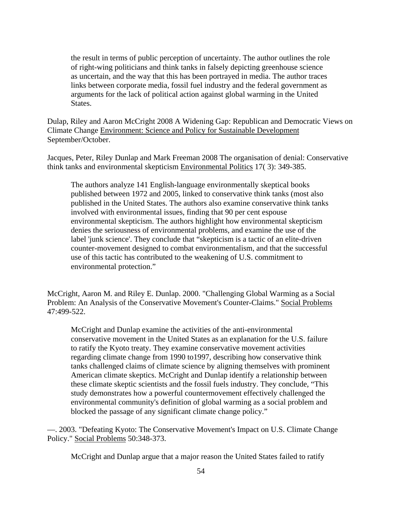the result in terms of public perception of uncertainty. The author outlines the role of right-wing politicians and think tanks in falsely depicting greenhouse science as uncertain, and the way that this has been portrayed in media. The author traces links between corporate media, fossil fuel industry and the federal government as arguments for the lack of political action against global warming in the United States.

Dulap, Riley and Aaron McCright 2008 A Widening Gap: Republican and Democratic Views on Climate Change Environment: Science and Policy for Sustainable Development September/October.

Jacques, Peter, Riley Dunlap and Mark Freeman 2008 The organisation of denial: Conservative think tanks and environmental skepticism Environmental Politics 17( 3): 349-385.

The authors analyze 141 English-language environmentally skeptical books published between 1972 and 2005, linked to conservative think tanks (most also published in the United States. The authors also examine conservative think tanks involved with environmental issues, finding that 90 per cent espouse environmental skepticism. The authors highlight how environmental skepticism denies the seriousness of environmental problems, and examine the use of the label 'junk science'. They conclude that "skepticism is a tactic of an elite-driven counter-movement designed to combat environmentalism, and that the successful use of this tactic has contributed to the weakening of U.S. commitment to environmental protection."

McCright, Aaron M. and Riley E. Dunlap. 2000. "Challenging Global Warming as a Social Problem: An Analysis of the Conservative Movement's Counter-Claims." Social Problems 47:499-522.

McCright and Dunlap examine the activities of the anti-environmental conservative movement in the United States as an explanation for the U.S. failure to ratify the Kyoto treaty. They examine conservative movement activities regarding climate change from 1990 to1997, describing how conservative think tanks challenged claims of climate science by aligning themselves with prominent American climate skeptics. McCright and Dunlap identify a relationship between these climate skeptic scientists and the fossil fuels industry. They conclude, "This study demonstrates how a powerful countermovement effectively challenged the environmental community's definition of global warming as a social problem and blocked the passage of any significant climate change policy."

—. 2003. "Defeating Kyoto: The Conservative Movement's Impact on U.S. Climate Change Policy." Social Problems 50:348-373.

McCright and Dunlap argue that a major reason the United States failed to ratify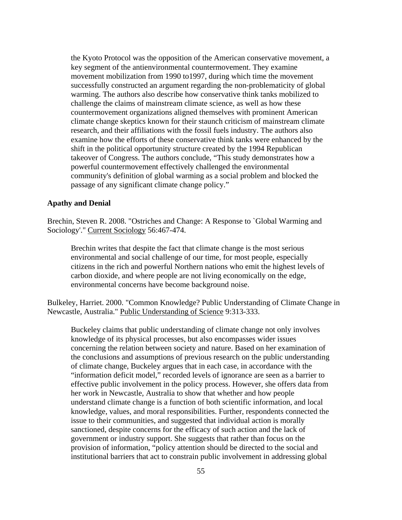the Kyoto Protocol was the opposition of the American conservative movement, a key segment of the antienvironmental countermovement. They examine movement mobilization from 1990 to1997, during which time the movement successfully constructed an argument regarding the non-problematicity of global warming. The authors also describe how conservative think tanks mobilized to challenge the claims of mainstream climate science, as well as how these countermovement organizations aligned themselves with prominent American climate change skeptics known for their staunch criticism of mainstream climate research, and their affiliations with the fossil fuels industry. The authors also examine how the efforts of these conservative think tanks were enhanced by the shift in the political opportunity structure created by the 1994 Republican takeover of Congress. The authors conclude, "This study demonstrates how a powerful countermovement effectively challenged the environmental community's definition of global warming as a social problem and blocked the passage of any significant climate change policy."

#### **Apathy and Denial**

Brechin, Steven R. 2008. "Ostriches and Change: A Response to `Global Warming and Sociology'." Current Sociology 56:467-474.

Brechin writes that despite the fact that climate change is the most serious environmental and social challenge of our time, for most people, especially citizens in the rich and powerful Northern nations who emit the highest levels of carbon dioxide, and where people are not living economically on the edge, environmental concerns have become background noise.

Bulkeley, Harriet. 2000. "Common Knowledge? Public Understanding of Climate Change in Newcastle, Australia." Public Understanding of Science 9:313-333.

Buckeley claims that public understanding of climate change not only involves knowledge of its physical processes, but also encompasses wider issues concerning the relation between society and nature. Based on her examination of the conclusions and assumptions of previous research on the public understanding of climate change, Buckeley argues that in each case, in accordance with the "information deficit model," recorded levels of ignorance are seen as a barrier to effective public involvement in the policy process. However, she offers data from her work in Newcastle, Australia to show that whether and how people understand climate change is a function of both scientific information, and local knowledge, values, and moral responsibilities. Further, respondents connected the issue to their communities, and suggested that individual action is morally sanctioned, despite concerns for the efficacy of such action and the lack of government or industry support. She suggests that rather than focus on the provision of information, "policy attention should be directed to the social and institutional barriers that act to constrain public involvement in addressing global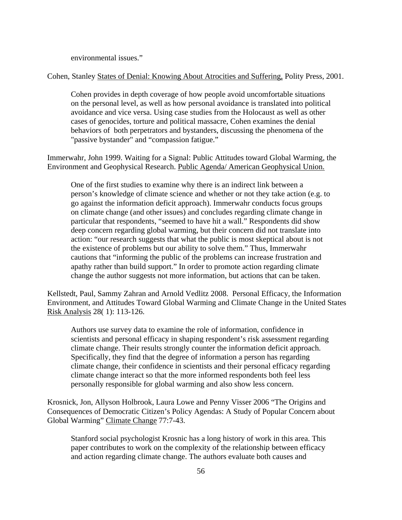environmental issues."

Cohen, Stanley States of Denial: Knowing About Atrocities and Suffering, Polity Press, 2001.

Cohen provides in depth coverage of how people avoid uncomfortable situations on the personal level, as well as how personal avoidance is translated into political avoidance and vice versa. Using case studies from the Holocaust as well as other cases of genocides, torture and political massacre, Cohen examines the denial behaviors of both perpetrators and bystanders, discussing the phenomena of the "passive bystander" and "compassion fatigue."

Immerwahr, John 1999. Waiting for a Signal: Public Attitudes toward Global Warming, the Environment and Geophysical Research. Public Agenda/ American Geophysical Union.

One of the first studies to examine why there is an indirect link between a person's knowledge of climate science and whether or not they take action (e.g. to go against the information deficit approach). Immerwahr conducts focus groups on climate change (and other issues) and concludes regarding climate change in particular that respondents, "seemed to have hit a wall." Respondents did show deep concern regarding global warming, but their concern did not translate into action: "our research suggests that what the public is most skeptical about is not the existence of problems but our ability to solve them." Thus, Immerwahr cautions that "informing the public of the problems can increase frustration and apathy rather than build support." In order to promote action regarding climate change the author suggests not more information, but actions that can be taken.

Kellstedt, Paul, Sammy Zahran and Arnold Vedlitz 2008. Personal Efficacy, the Information Environment, and Attitudes Toward Global Warming and Climate Change in the United States Risk Analysis 28( 1): 113-126.

Authors use survey data to examine the role of information, confidence in scientists and personal efficacy in shaping respondent's risk assessment regarding climate change. Their results strongly counter the information deficit approach. Specifically, they find that the degree of information a person has regarding climate change, their confidence in scientists and their personal efficacy regarding climate change interact so that the more informed respondents both feel less personally responsible for global warming and also show less concern.

Krosnick, Jon, Allyson Holbrook, Laura Lowe and Penny Visser 2006 "The Origins and Consequences of Democratic Citizen's Policy Agendas: A Study of Popular Concern about Global Warming" Climate Change 77:7-43.

Stanford social psychologist Krosnic has a long history of work in this area. This paper contributes to work on the complexity of the relationship between efficacy and action regarding climate change. The authors evaluate both causes and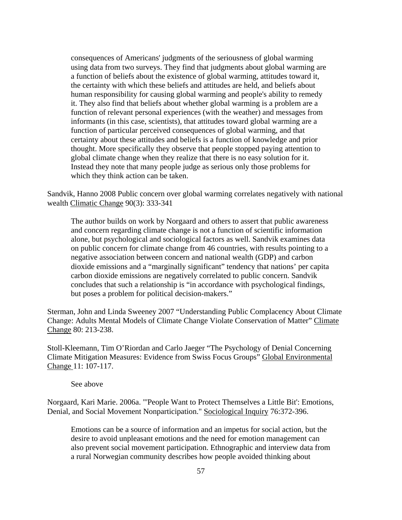consequences of Americans' judgments of the seriousness of global warming using data from two surveys. They find that judgments about global warming are a function of beliefs about the existence of global warming, attitudes toward it, the certainty with which these beliefs and attitudes are held, and beliefs about human responsibility for causing global warming and people's ability to remedy it. They also find that beliefs about whether global warming is a problem are a function of relevant personal experiences (with the weather) and messages from informants (in this case, scientists), that attitudes toward global warming are a function of particular perceived consequences of global warming, and that certainty about these attitudes and beliefs is a function of knowledge and prior thought. More specifically they observe that people stopped paying attention to global climate change when they realize that there is no easy solution for it. Instead they note that many people judge as serious only those problems for which they think action can be taken.

Sandvik, Hanno 2008 Public concern over global warming correlates negatively with national wealth Climatic Change 90(3): 333-341

The author builds on work by Norgaard and others to assert that public awareness and concern regarding climate change is not a function of scientific information alone, but psychological and sociological factors as well. Sandvik examines data on public concern for climate change from 46 countries, with results pointing to a negative association between concern and national wealth (GDP) and carbon dioxide emissions and a "marginally significant" tendency that nations' per capita carbon dioxide emissions are negatively correlated to public concern. Sandvik concludes that such a relationship is "in accordance with psychological findings, but poses a problem for political decision-makers."

Sterman, John and Linda Sweeney 2007 "Understanding Public Complacency About Climate Change: Adults Mental Models of Climate Change Violate Conservation of Matter" Climate Change 80: 213-238.

Stoll-Kleemann, Tim O'Riordan and Carlo Jaeger "The Psychology of Denial Concerning Climate Mitigation Measures: Evidence from Swiss Focus Groups" Global Environmental Change 11: 107-117.

See above

Norgaard, Kari Marie. 2006a. "'People Want to Protect Themselves a Little Bit': Emotions, Denial, and Social Movement Nonparticipation." Sociological Inquiry 76:372-396.

Emotions can be a source of information and an impetus for social action, but the desire to avoid unpleasant emotions and the need for emotion management can also prevent social movement participation. Ethnographic and interview data from a rural Norwegian community describes how people avoided thinking about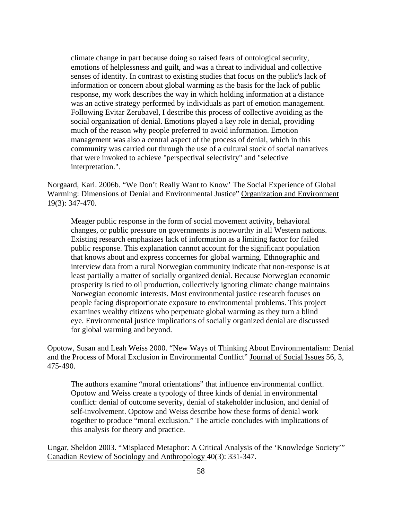climate change in part because doing so raised fears of ontological security, emotions of helplessness and guilt, and was a threat to individual and collective senses of identity. In contrast to existing studies that focus on the public's lack of information or concern about global warming as the basis for the lack of public response, my work describes the way in which holding information at a distance was an active strategy performed by individuals as part of emotion management. Following Evitar Zerubavel, I describe this process of collective avoiding as the social organization of denial. Emotions played a key role in denial, providing much of the reason why people preferred to avoid information. Emotion management was also a central aspect of the process of denial, which in this community was carried out through the use of a cultural stock of social narratives that were invoked to achieve "perspectival selectivity" and "selective interpretation.".

Norgaard, Kari. 2006b. "We Don't Really Want to Know' The Social Experience of Global Warming: Dimensions of Denial and Environmental Justice" Organization and Environment 19(3): 347-470.

Meager public response in the form of social movement activity, behavioral changes, or public pressure on governments is noteworthy in all Western nations. Existing research emphasizes lack of information as a limiting factor for failed public response. This explanation cannot account for the significant population that knows about and express concernes for global warming. Ethnographic and interview data from a rural Norwegian community indicate that non-response is at least partially a matter of socially organized denial. Because Norwegian economic prosperity is tied to oil production, collectively ignoring climate change maintains Norwegian economic interests. Most environmental justice research focuses on people facing disproportionate exposure to environmental problems. This project examines wealthy citizens who perpetuate global warming as they turn a blind eye. Environmental justice implications of socially organized denial are discussed for global warming and beyond.

Opotow, Susan and Leah Weiss 2000. "New Ways of Thinking About Environmentalism: Denial and the Process of Moral Exclusion in Environmental Conflict" Journal of Social Issues 56, 3, 475-490.

The authors examine "moral orientations" that influence environmental conflict. Opotow and Weiss create a typology of three kinds of denial in environmental conflict: denial of outcome severity, denial of stakeholder inclusion, and denial of self-involvement. Opotow and Weiss describe how these forms of denial work together to produce "moral exclusion." The article concludes with implications of this analysis for theory and practice.

Ungar, Sheldon 2003. "Misplaced Metaphor: A Critical Analysis of the 'Knowledge Society'" Canadian Review of Sociology and Anthropology 40(3): 331-347.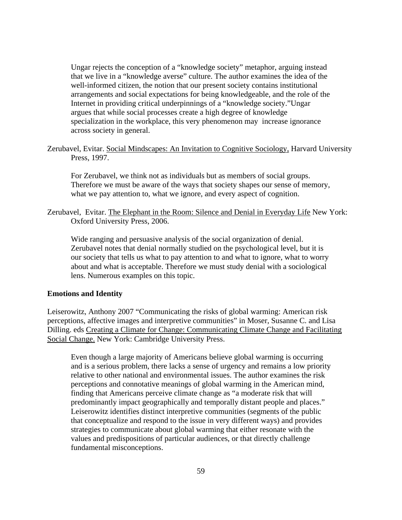Ungar rejects the conception of a "knowledge society" metaphor, arguing instead that we live in a "knowledge averse" culture. The author examines the idea of the well-informed citizen, the notion that our present society contains institutional arrangements and social expectations for being knowledgeable, and the role of the Internet in providing critical underpinnings of a "knowledge society."Ungar argues that while social processes create a high degree of knowledge specialization in the workplace, this very phenomenon may increase ignorance across society in general.

Zerubavel, Evitar. Social Mindscapes: An Invitation to Cognitive Sociology, Harvard University Press, 1997.

For Zerubavel, we think not as individuals but as members of social groups. Therefore we must be aware of the ways that society shapes our sense of memory, what we pay attention to, what we ignore, and every aspect of cognition.

Zerubavel, Evitar. The Elephant in the Room: Silence and Denial in Everyday Life New York: Oxford University Press, 2006.

Wide ranging and persuasive analysis of the social organization of denial. Zerubavel notes that denial normally studied on the psychological level, but it is our society that tells us what to pay attention to and what to ignore, what to worry about and what is acceptable. Therefore we must study denial with a sociological lens. Numerous examples on this topic.

### **Emotions and Identity**

Leiserowitz, Anthony 2007 "Communicating the risks of global warming: American risk perceptions, affective images and interpretive communities" in Moser, Susanne C. and Lisa Dilling. eds Creating a Climate for Change: Communicating Climate Change and Facilitating Social Change. New York: Cambridge University Press.

Even though a large majority of Americans believe global warming is occurring and is a serious problem, there lacks a sense of urgency and remains a low priority relative to other national and environmental issues. The author examines the risk perceptions and connotative meanings of global warming in the American mind, finding that Americans perceive climate change as "a moderate risk that will predominantly impact geographically and temporally distant people and places." Leiserowitz identifies distinct interpretive communities (segments of the public that conceptualize and respond to the issue in very different ways) and provides strategies to communicate about global warming that either resonate with the values and predispositions of particular audiences, or that directly challenge fundamental misconceptions.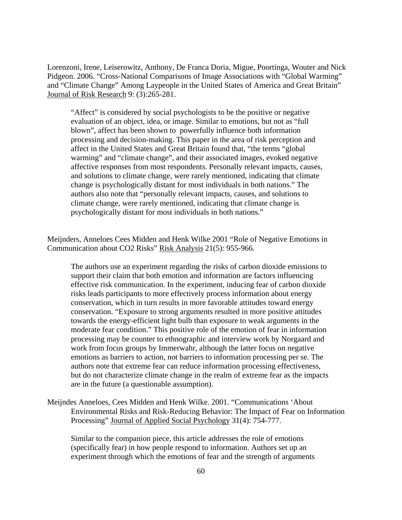Lorenzoni, Irene, Leiserowitz, Anthony, De Franca Doria, Migue, Poortinga, Wouter and Nick Pidgeon. 2006. "Cross-National Comparisons of Image Associations with "Global Warming" and "Climate Change" Among Laypeople in the United States of America and Great Britain" Journal of Risk Research 9: (3):265-281.

"Affect" is considered by social psychologists to be the positive or negative evaluation of an object, idea, or image. Similar to emotions, but not as "full blown", affect has been shown to powerfully influence both information processing and decision-making. This paper in the area of risk perception and affect in the United States and Great Britain found that, "the terms "global warming" and "climate change", and their associated images, evoked negative affective responses from most respondents. Personally relevant impacts, causes, and solutions to climate change, were rarely mentioned, indicating that climate change is psychologically distant for most individuals in both nations." The authors also note that "personally relevant impacts, causes, and solutions to climate change, were rarely mentioned, indicating that climate change is psychologically distant for most individuals in both nations."

Meijnders, Anneloes Cees Midden and Henk Wilke 2001 "Role of Negative Emotions in Communication about CO2 Risks" Risk Analysis 21(5): 955-966.

The authors use an experiment regarding the risks of carbon dioxide emissions to support their claim that both emotion and information are factors influencing effective risk communication. In the experiment, inducing fear of carbon dioxide risks leads participants to more effectively process information about energy conservation, which in turn results in more favorable attitudes toward energy conservation. "Exposure to strong arguments resulted in more positive attitudes towards the energy-efficient light bulb than exposure to weak arguments in the moderate fear condition." This positive role of the emotion of fear in information processing may be counter to ethnographic and interview work by Norgaard and work from focus groups by Immerwahr, although the latter focus on negative emotions as barriers to action, not barriers to information processing per se. The authors note that extreme fear can reduce information processing effectiveness, but do not characterize climate change in the realm of extreme fear as the impacts are in the future (a questionable assumption).

Meijndes Anneloes, Cees Midden and Henk Wilke. 2001. "Communications 'About Environmental Risks and Risk-Reducing Behavior: The Impact of Fear on Information Processing" Journal of Applied Social Psychology 31(4): 754-777.

Similar to the companion piece, this article addresses the role of emotions (specifically fear) in how people respond to information. Authors set up an experiment through which the emotions of fear and the strength of arguments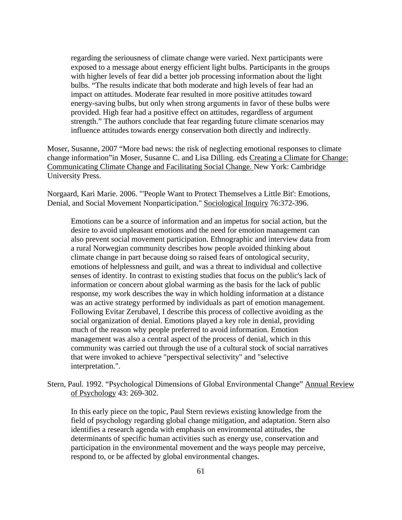regarding the seriousness of climate change were varied. Next participants were exposed to a message about energy efficient light bulbs. Participants in the groups with higher levels of fear did a better job processing information about the light bulbs. "The results indicate that both moderate and high levels of fear had an impact on attitudes. Moderate fear resulted in more positive attitudes toward energy-saving bulbs, but only when strong arguments in favor of these bulbs were provided. High fear had a positive effect on attitudes, regardless of argument strength." The authors conclude that fear regarding future climate scenarios may influence attitudes towards energy conservation both directly and indirectly.

Moser, Susanne, 2007 "More bad news: the risk of neglecting emotional responses to climate change information"in Moser, Susanne C. and Lisa Dilling. eds Creating a Climate for Change: Communicating Climate Change and Facilitating Social Change. New York: Cambridge University Press.

Norgaard, Kari Marie. 2006. "'People Want to Protect Themselves a Little Bit': Emotions, Denial, and Social Movement Nonparticipation." Sociological Inquiry 76:372-396.

Emotions can be a source of information and an impetus for social action, but the desire to avoid unpleasant emotions and the need for emotion management can also prevent social movement participation. Ethnographic and interview data from a rural Norwegian community describes how people avoided thinking about climate change in part because doing so raised fears of ontological security, emotions of helplessness and guilt, and was a threat to individual and collective senses of identity. In contrast to existing studies that focus on the public's lack of information or concern about global warming as the basis for the lack of public response, my work describes the way in which holding information at a distance was an active strategy performed by individuals as part of emotion management. Following Evitar Zerubavel, I describe this process of collective avoiding as the social organization of denial. Emotions played a key role in denial, providing much of the reason why people preferred to avoid information. Emotion management was also a central aspect of the process of denial, which in this community was carried out through the use of a cultural stock of social narratives that were invoked to achieve "perspectival selectivity" and "selective interpretation.".

Stern, Paul. 1992. "Psychological Dimensions of Global Environmental Change" Annual Review of Psychology 43: 269-302.

In this early piece on the topic, Paul Stern reviews existing knowledge from the field of psychology regarding global change mitigation, and adaptation. Stern also identifies a research agenda with emphasis on environmental attitudes, the determinants of specific human activities such as energy use, conservation and participation in the environmental movement and the ways people may perceive, respond to, or be affected by global environmental changes.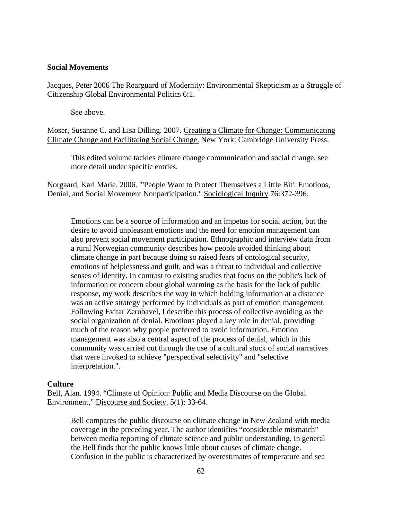#### **Social Movements**

Jacques, Peter 2006 The Rearguard of Modernity: Environmental Skepticism as a Struggle of Citizenship Global Environmental Politics 6:1.

See above.

Moser, Susanne C. and Lisa Dilling. 2007. Creating a Climate for Change: Communicating Climate Change and Facilitating Social Change. New York: Cambridge University Press.

This edited volume tackles climate change communication and social change, see more detail under specific entries.

Norgaard, Kari Marie. 2006. "'People Want to Protect Themselves a Little Bit': Emotions, Denial, and Social Movement Nonparticipation." Sociological Inquiry 76:372-396.

Emotions can be a source of information and an impetus for social action, but the desire to avoid unpleasant emotions and the need for emotion management can also prevent social movement participation. Ethnographic and interview data from a rural Norwegian community describes how people avoided thinking about climate change in part because doing so raised fears of ontological security, emotions of helplessness and guilt, and was a threat to individual and collective senses of identity. In contrast to existing studies that focus on the public's lack of information or concern about global warming as the basis for the lack of public response, my work describes the way in which holding information at a distance was an active strategy performed by individuals as part of emotion management. Following Evitar Zerubavel, I describe this process of collective avoiding as the social organization of denial. Emotions played a key role in denial, providing much of the reason why people preferred to avoid information. Emotion management was also a central aspect of the process of denial, which in this community was carried out through the use of a cultural stock of social narratives that were invoked to achieve "perspectival selectivity" and "selective interpretation.".

#### **Culture**

Bell, Alan. 1994. "Climate of Opinion: Public and Media Discourse on the Global Environment," Discourse and Society. 5(1): 33-64.

Bell compares the public discourse on climate change in New Zealand with media coverage in the preceding year. The author identifies "considerable mismatch" between media reporting of climate science and public understanding. In general the Bell finds that the public knows little about causes of climate change. Confusion in the public is characterized by overestimates of temperature and sea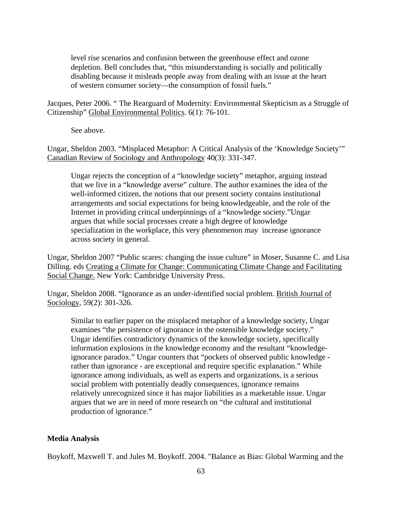level rise scenarios and confusion between the greenhouse effect and ozone depletion. Bell concludes that, "this misunderstanding is socially and politically disabling because it misleads people away from dealing with an issue at the heart of western consumer society—the consumption of fossil fuels."

Jacques, Peter 2006. " The Rearguard of Modernity: Environmental Skepticism as a Struggle of Citizenship" Global Environmental Politics. 6(1): 76-101.

See above.

Ungar, Sheldon 2003. "Misplaced Metaphor: A Critical Analysis of the 'Knowledge Society'" Canadian Review of Sociology and Anthropology 40(3): 331-347.

Ungar rejects the conception of a "knowledge society" metaphor, arguing instead that we live in a "knowledge averse" culture. The author examines the idea of the well-informed citizen, the notions that our present society contains institutional arrangements and social expectations for being knowledgeable, and the role of the Internet in providing critical underpinnings of a "knowledge society."Ungar argues that while social processes create a high degree of knowledge specialization in the workplace, this very phenomenon may increase ignorance across society in general.

Ungar, Sheldon 2007 "Public scares: changing the issue culture" in Moser, Susanne C. and Lisa Dilling. eds Creating a Climate for Change: Communicating Climate Change and Facilitating Social Change. New York: Cambridge University Press.

Ungar, Sheldon 2008. "Ignorance as an under-identified social problem. British Journal of Sociology, 59(2): 301-326.

Similar to earlier paper on the misplaced metaphor of a knowledge society, Ungar examines "the persistence of ignorance in the ostensible knowledge society." Ungar identifies contradictory dynamics of the knowledge society, specifically information explosions in the knowledge economy and the resultant "knowledgeignorance paradox." Ungar counters that "pockets of observed public knowledge rather than ignorance - are exceptional and require specific explanation." While ignorance among individuals, as well as experts and organizations, is a serious social problem with potentially deadly consequences, ignorance remains relatively unrecognized since it has major liabilities as a marketable issue. Ungar argues that we are in need of more research on "the cultural and institutional production of ignorance."

### **Media Analysis**

Boykoff, Maxwell T. and Jules M. Boykoff. 2004. "Balance as Bias: Global Warming and the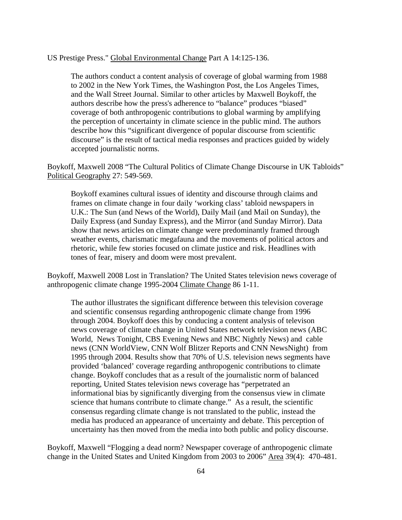### US Prestige Press." Global Environmental Change Part A 14:125-136.

The authors conduct a content analysis of coverage of global warming from 1988 to 2002 in the New York Times, the Washington Post, the Los Angeles Times, and the Wall Street Journal. Similar to other articles by Maxwell Boykoff, the authors describe how the press's adherence to "balance" produces "biased" coverage of both anthropogenic contributions to global warming by amplifying the perception of uncertainty in climate science in the public mind. The authors describe how this "significant divergence of popular discourse from scientific discourse" is the result of tactical media responses and practices guided by widely accepted journalistic norms.

Boykoff, Maxwell 2008 "The Cultural Politics of Climate Change Discourse in UK Tabloids" Political Geography 27: 549-569.

Boykoff examines cultural issues of identity and discourse through claims and frames on climate change in four daily 'working class' tabloid newspapers in U.K.: The Sun (and News of the World), Daily Mail (and Mail on Sunday), the Daily Express (and Sunday Express), and the Mirror (and Sunday Mirror). Data show that news articles on climate change were predominantly framed through weather events, charismatic megafauna and the movements of political actors and rhetoric, while few stories focused on climate justice and risk. Headlines with tones of fear, misery and doom were most prevalent.

Boykoff, Maxwell 2008 Lost in Translation? The United States television news coverage of anthropogenic climate change 1995-2004 Climate Change 86 1-11.

The author illustrates the significant difference between this television coverage and scientific consensus regarding anthropogenic climate change from 1996 through 2004. Boykoff does this by conducing a content analysis of televison news coverage of climate change in United States network television news (ABC World, News Tonight, CBS Evening News and NBC Nightly News) and cable news (CNN WorldView, CNN Wolf Blitzer Reports and CNN NewsNight) from 1995 through 2004. Results show that 70% of U.S. television news segments have provided 'balanced' coverage regarding anthropogenic contributions to climate change. Boykoff concludes that as a result of the journalistic norm of balanced reporting, United States television news coverage has "perpetrated an informational bias by significantly diverging from the consensus view in climate science that humans contribute to climate change." As a result, the scientific consensus regarding climate change is not translated to the public, instead the media has produced an appearance of uncertainty and debate. This perception of uncertainty has then moved from the media into both public and policy discourse.

Boykoff, Maxwell "Flogging a dead norm? Newspaper coverage of anthropogenic climate change in the United States and United Kingdom from 2003 to 2006" Area 39(4): 470-481.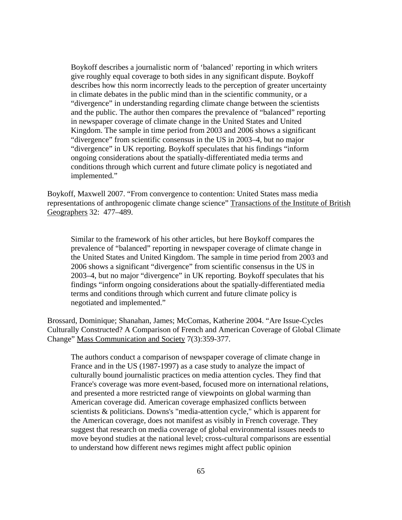Boykoff describes a journalistic norm of 'balanced' reporting in which writers give roughly equal coverage to both sides in any significant dispute. Boykoff describes how this norm incorrectly leads to the perception of greater uncertainty in climate debates in the public mind than in the scientific community, or a "divergence" in understanding regarding climate change between the scientists and the public. The author then compares the prevalence of "balanced" reporting in newspaper coverage of climate change in the United States and United Kingdom. The sample in time period from 2003 and 2006 shows a significant "divergence" from scientific consensus in the US in 2003–4, but no major "divergence" in UK reporting. Boykoff speculates that his findings "inform ongoing considerations about the spatially-differentiated media terms and conditions through which current and future climate policy is negotiated and implemented."

Boykoff, Maxwell 2007. "From convergence to contention: United States mass media representations of anthropogenic climate change science" Transactions of the Institute of British Geographers 32: 477–489.

Similar to the framework of his other articles, but here Boykoff compares the prevalence of "balanced" reporting in newspaper coverage of climate change in the United States and United Kingdom. The sample in time period from 2003 and 2006 shows a significant "divergence" from scientific consensus in the US in 2003–4, but no major "divergence" in UK reporting. Boykoff speculates that his findings "inform ongoing considerations about the spatially-differentiated media terms and conditions through which current and future climate policy is negotiated and implemented."

Brossard, Dominique; Shanahan, James; McComas, Katherine 2004. "Are Issue-Cycles Culturally Constructed? A Comparison of French and American Coverage of Global Climate Change" Mass Communication and Society 7(3):359-377.

The authors conduct a comparison of newspaper coverage of climate change in France and in the US (1987-1997) as a case study to analyze the impact of culturally bound journalistic practices on media attention cycles. They find that France's coverage was more event-based, focused more on international relations, and presented a more restricted range of viewpoints on global warming than American coverage did. American coverage emphasized conflicts between scientists & politicians. Downs's "media-attention cycle," which is apparent for the American coverage, does not manifest as visibly in French coverage. They suggest that research on media coverage of global environmental issues needs to move beyond studies at the national level; cross-cultural comparisons are essential to understand how different news regimes might affect public opinion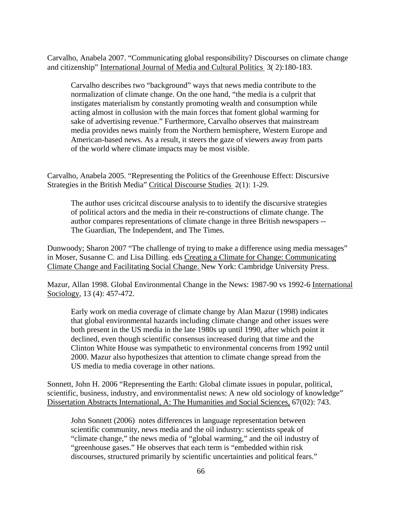Carvalho, Anabela 2007. "Communicating global responsibility? Discourses on climate change and citizenship" International Journal of Media and Cultural Politics 3( 2):180-183.

Carvalho describes two "background" ways that news media contribute to the normalization of climate change. On the one hand, "the media is a culprit that instigates materialism by constantly promoting wealth and consumption while acting almost in collusion with the main forces that foment global warming for sake of advertising revenue." Furthermore, Carvalho observes that mainstream media provides news mainly from the Northern hemisphere, Western Europe and American-based news. As a result, it steers the gaze of viewers away from parts of the world where climate impacts may be most visible.

Carvalho, Anabela 2005. "Representing the Politics of the Greenhouse Effect: Discursive Strategies in the British Media" Critical Discourse Studies 2(1): 1-29.

The author uses cricitcal discourse analysis to to identify the discursive strategies of political actors and the media in their re-constructions of climate change. The author compares representations of climate change in three British newspapers -- The Guardian, The Independent, and The Times.

Dunwoody; Sharon 2007 "The challenge of trying to make a difference using media messages" in Moser, Susanne C. and Lisa Dilling. eds Creating a Climate for Change: Communicating Climate Change and Facilitating Social Change. New York: Cambridge University Press.

Mazur, Allan 1998. Global Environmental Change in the News: 1987-90 vs 1992-6 International Sociology, 13 (4): 457-472.

Early work on media coverage of climate change by Alan Mazur (1998) indicates that global environmental hazards including climate change and other issues were both present in the US media in the late 1980s up until 1990, after which point it declined, even though scientific consensus increased during that time and the Clinton White House was sympathetic to environmental concerns from 1992 until 2000. Mazur also hypothesizes that attention to climate change spread from the US media to media coverage in other nations.

Sonnett, John H. 2006 "Representing the Earth: Global climate issues in popular, political, scientific, business, industry, and environmentalist news: A new old sociology of knowledge" Dissertation Abstracts International, A: The Humanities and Social Sciences, 67(02): 743.

John Sonnett (2006) notes differences in language representation between scientific community, news media and the oil industry: scientists speak of "climate change," the news media of "global warming," and the oil industry of "greenhouse gases." He observes that each term is "embedded within risk discourses, structured primarily by scientific uncertainties and political fears."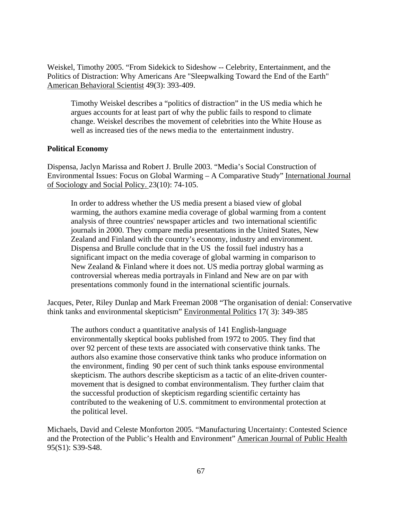Weiskel, Timothy 2005. "From Sidekick to Sideshow -- Celebrity, Entertainment, and the Politics of Distraction: Why Americans Are "Sleepwalking Toward the End of the Earth" American Behavioral Scientist 49(3): 393-409.

Timothy Weiskel describes a "politics of distraction" in the US media which he argues accounts for at least part of why the public fails to respond to climate change. Weiskel describes the movement of celebrities into the White House as well as increased ties of the news media to the entertainment industry.

### **Political Economy**

Dispensa, Jaclyn Marissa and Robert J. Brulle 2003. "Media's Social Construction of Environmental Issues: Focus on Global Warming – A Comparative Study" International Journal of Sociology and Social Policy. 23(10): 74-105.

In order to address whether the US media present a biased view of global warming, the authors examine media coverage of global warming from a content analysis of three countries' newspaper articles and two international scientific journals in 2000. They compare media presentations in the United States, New Zealand and Finland with the country's economy, industry and environment. Dispensa and Brulle conclude that in the US the fossil fuel industry has a significant impact on the media coverage of global warming in comparison to New Zealand & Finland where it does not. US media portray global warming as controversial whereas media portrayals in Finland and New are on par with presentations commonly found in the international scientific journals.

Jacques, Peter, Riley Dunlap and Mark Freeman 2008 "The organisation of denial: Conservative think tanks and environmental skepticism" Environmental Politics 17( 3): 349-385

The authors conduct a quantitative analysis of 141 English-language environmentally skeptical books published from 1972 to 2005. They find that over 92 percent of these texts are associated with conservative think tanks. The authors also examine those conservative think tanks who produce information on the environment, finding 90 per cent of such think tanks espouse environmental skepticism. The authors describe skepticism as a tactic of an elite-driven countermovement that is designed to combat environmentalism. They further claim that the successful production of skepticism regarding scientific certainty has contributed to the weakening of U.S. commitment to environmental protection at the political level.

Michaels, David and Celeste Monforton 2005. "Manufacturing Uncertainty: Contested Science and the Protection of the Public's Health and Environment" American Journal of Public Health 95(S1): S39-S48.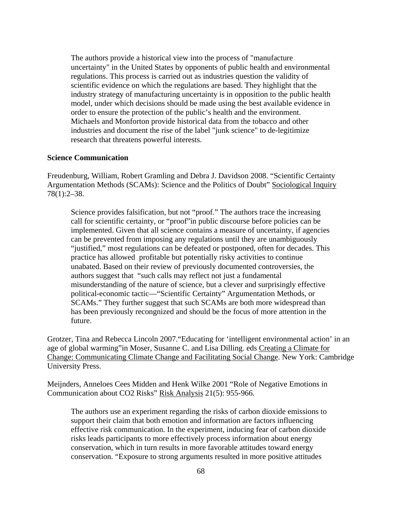The authors provide a historical view into the process of "manufacture uncertainty" in the United States by opponents of public health and environmental regulations. This process is carried out as industries question the validity of scientific evidence on which the regulations are based. They highlight that the industry strategy of manufacturing uncertainty is in opposition to the public health model, under which decisions should be made using the best available evidence in order to ensure the protection of the public's health and the environment. Michaels and Monforton provide historical data from the tobacco and other industries and document the rise of the label "junk science" to de-legitimize research that threatens powerful interests.

#### **Science Communication**

Freudenburg, William, Robert Gramling and Debra J. Davidson 2008. "Scientific Certainty Argumentation Methods (SCAMs): Science and the Politics of Doubt" Sociological Inquiry 78(1):2–38.

Science provides falsification, but not "proof." The authors trace the increasing call for scientific certainty, or "proof"in public discourse before policies can be implemented. Given that all science contains a measure of uncertainty, if agencies can be prevented from imposing any regulations until they are unambiguously "justified," most regulations can be defeated or postponed, often for decades. This practice has allowed profitable but potentially risky activities to continue unabated. Based on their review of previously documented controversies, the authors suggest that "such calls may reflect not just a fundamental misunderstanding of the nature of science, but a clever and surprisingly effective political-economic tactic—"Scientific Certainty" Argumentation Methods, or SCAMs." They further suggest that such SCAMs are both more widespread than has been previously recongnized and should be the focus of more attention in the future.

Grotzer, Tina and Rebecca Lincoln 2007."Educating for 'intelligent environmental action' in an age of global warming"in Moser, Susanne C. and Lisa Dilling. eds Creating a Climate for Change: Communicating Climate Change and Facilitating Social Change. New York: Cambridge University Press.

Meijnders, Anneloes Cees Midden and Henk Wilke 2001 "Role of Negative Emotions in Communication about CO2 Risks" Risk Analysis 21(5): 955-966.

The authors use an experiment regarding the risks of carbon dioxide emissions to support their claim that both emotion and information are factors influencing effective risk communication. In the experiment, inducing fear of carbon dioxide risks leads participants to more effectively process information about energy conservation, which in turn results in more favorable attitudes toward energy conservation. "Exposure to strong arguments resulted in more positive attitudes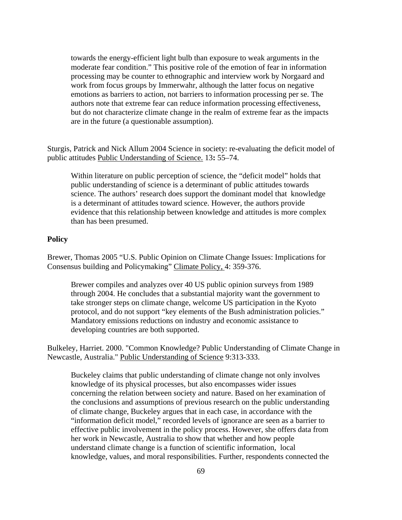towards the energy-efficient light bulb than exposure to weak arguments in the moderate fear condition." This positive role of the emotion of fear in information processing may be counter to ethnographic and interview work by Norgaard and work from focus groups by Immerwahr, although the latter focus on negative emotions as barriers to action, not barriers to information processing per se. The authors note that extreme fear can reduce information processing effectiveness, but do not characterize climate change in the realm of extreme fear as the impacts are in the future (a questionable assumption).

Sturgis, Patrick and Nick Allum 2004 Science in society: re-evaluating the deficit model of public attitudes Public Understanding of Science. 13**:** 55–74.

Within literature on public perception of science, the "deficit model" holds that public understanding of science is a determinant of public attitudes towards science. The authors' research does support the dominant model that knowledge is a determinant of attitudes toward science. However, the authors provide evidence that this relationship between knowledge and attitudes is more complex than has been presumed.

#### **Policy**

Brewer, Thomas 2005 "U.S. Public Opinion on Climate Change Issues: Implications for Consensus building and Policymaking" Climate Policy, 4: 359-376.

Brewer compiles and analyzes over 40 US public opinion surveys from 1989 through 2004. He concludes that a substantial majority want the government to take stronger steps on climate change, welcome US participation in the Kyoto protocol, and do not support "key elements of the Bush administration policies." Mandatory emissions reductions on industry and economic assistance to developing countries are both supported.

Bulkeley, Harriet. 2000. "Common Knowledge? Public Understanding of Climate Change in Newcastle, Australia." Public Understanding of Science 9:313-333.

Buckeley claims that public understanding of climate change not only involves knowledge of its physical processes, but also encompasses wider issues concerning the relation between society and nature. Based on her examination of the conclusions and assumptions of previous research on the public understanding of climate change, Buckeley argues that in each case, in accordance with the "information deficit model," recorded levels of ignorance are seen as a barrier to effective public involvement in the policy process. However, she offers data from her work in Newcastle, Australia to show that whether and how people understand climate change is a function of scientific information, local knowledge, values, and moral responsibilities. Further, respondents connected the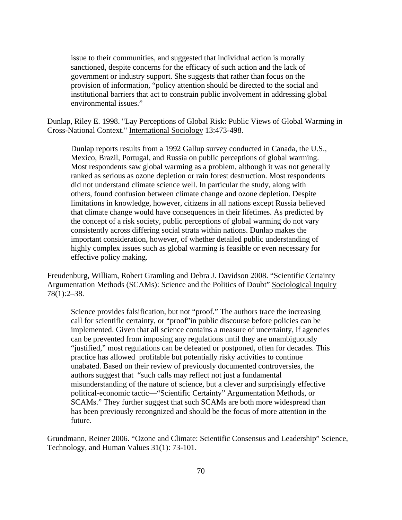issue to their communities, and suggested that individual action is morally sanctioned, despite concerns for the efficacy of such action and the lack of government or industry support. She suggests that rather than focus on the provision of information, "policy attention should be directed to the social and institutional barriers that act to constrain public involvement in addressing global environmental issues."

Dunlap, Riley E. 1998. "Lay Perceptions of Global Risk: Public Views of Global Warming in Cross-National Context." International Sociology 13:473-498.

Dunlap reports results from a 1992 Gallup survey conducted in Canada, the U.S., Mexico, Brazil, Portugal, and Russia on public perceptions of global warming. Most respondents saw global warming as a problem, although it was not generally ranked as serious as ozone depletion or rain forest destruction. Most respondents did not understand climate science well. In particular the study, along with others, found confusion between climate change and ozone depletion. Despite limitations in knowledge, however, citizens in all nations except Russia believed that climate change would have consequences in their lifetimes. As predicted by the concept of a risk society, public perceptions of global warming do not vary consistently across differing social strata within nations. Dunlap makes the important consideration, however, of whether detailed public understanding of highly complex issues such as global warming is feasible or even necessary for effective policy making.

Freudenburg, William, Robert Gramling and Debra J. Davidson 2008. "Scientific Certainty Argumentation Methods (SCAMs): Science and the Politics of Doubt" Sociological Inquiry 78(1):2–38.

Science provides falsification, but not "proof." The authors trace the increasing call for scientific certainty, or "proof"in public discourse before policies can be implemented. Given that all science contains a measure of uncertainty, if agencies can be prevented from imposing any regulations until they are unambiguously "justified," most regulations can be defeated or postponed, often for decades. This practice has allowed profitable but potentially risky activities to continue unabated. Based on their review of previously documented controversies, the authors suggest that "such calls may reflect not just a fundamental misunderstanding of the nature of science, but a clever and surprisingly effective political-economic tactic—"Scientific Certainty" Argumentation Methods, or SCAMs." They further suggest that such SCAMs are both more widespread than has been previously recongnized and should be the focus of more attention in the future.

Grundmann, Reiner 2006. "Ozone and Climate: Scientific Consensus and Leadership" Science, Technology, and Human Values 31(1): 73-101.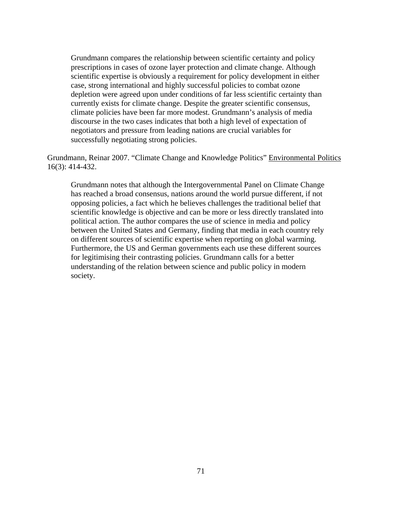Grundmann compares the relationship between scientific certainty and policy prescriptions in cases of ozone layer protection and climate change. Although scientific expertise is obviously a requirement for policy development in either case, strong international and highly successful policies to combat ozone depletion were agreed upon under conditions of far less scientific certainty than currently exists for climate change. Despite the greater scientific consensus, climate policies have been far more modest. Grundmann's analysis of media discourse in the two cases indicates that both a high level of expectation of negotiators and pressure from leading nations are crucial variables for successfully negotiating strong policies.

Grundmann, Reinar 2007. "Climate Change and Knowledge Politics" Environmental Politics 16(3): 414-432.

Grundmann notes that although the Intergovernmental Panel on Climate Change has reached a broad consensus, nations around the world pursue different, if not opposing policies, a fact which he believes challenges the traditional belief that scientific knowledge is objective and can be more or less directly translated into political action. The author compares the use of science in media and policy between the United States and Germany, finding that media in each country rely on different sources of scientific expertise when reporting on global warming. Furthermore, the US and German governments each use these different sources for legitimising their contrasting policies. Grundmann calls for a better understanding of the relation between science and public policy in modern society.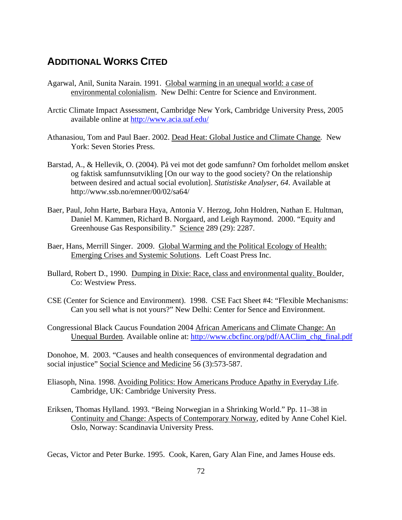## **ADDITIONAL WORKS CITED**

- Agarwal, Anil, Sunita Narain. 1991. Global warming in an unequal world: a case of environmental colonialism. New Delhi: Centre for Science and Environment.
- Arctic Climate Impact Assessment, Cambridge New York, Cambridge University Press, 2005 available online at<http://www.acia.uaf.edu/>
- Athanasiou, Tom and Paul Baer. 2002. Dead Heat: Global Justice and Climate Change*.* New York: Seven Stories Press.
- Barstad, A., & Hellevik, O. (2004). På vei mot det gode samfunn? Om forholdet mellom ønsket og faktisk samfunnsutvikling [On our way to the good society? On the relationship between desired and actual social evolution]. *Statistiske Analyser*, *64*. Available at http://www.ssb.no/emner/00/02/sa64/
- Baer, Paul, John Harte, Barbara Haya, Antonia V. Herzog, John Holdren, Nathan E. Hultman, Daniel M. Kammen, Richard B. Norgaard, and Leigh Raymond. 2000. "Equity and Greenhouse Gas Responsibility." Science 289 (29): 2287.
- Baer, Hans, Merrill Singer. 2009. Global Warming and the Political Ecology of Health: Emerging Crises and Systemic Solutions. Left Coast Press Inc.
- Bullard, Robert D., 1990. Dumping in Dixie: Race, class and environmental quality. Boulder, Co: Westview Press.
- CSE (Center for Science and Environment). 1998. CSE Fact Sheet #4: "Flexible Mechanisms: Can you sell what is not yours?" New Delhi: Center for Sence and Environment.
- Congressional Black Caucus Foundation 2004 African Americans and Climate Change: An Unequal Burden. Available online at: [http://www.cbcfinc.org/pdf/AAClim\\_chg\\_final.pdf](http://www.cbcfinc.org/pdf/AAClim_chg_final.pdf)

Donohoe, M. 2003. "Causes and health consequences of environmental degradation and social injustice" Social Science and Medicine 56 (3):573-587.

- Eliasoph, Nina. 1998. Avoiding Politics: How Americans Produce Apathy in Everyday Life. Cambridge, UK: Cambridge University Press.
- Eriksen, Thomas Hylland. 1993. "Being Norwegian in a Shrinking World." Pp. 11–38 in Continuity and Change: Aspects of Contemporary Norway, edited by Anne Cohel Kiel. Oslo, Norway: Scandinavia University Press.

Gecas, Victor and Peter Burke. 1995. Cook, Karen, Gary Alan Fine, and James House eds.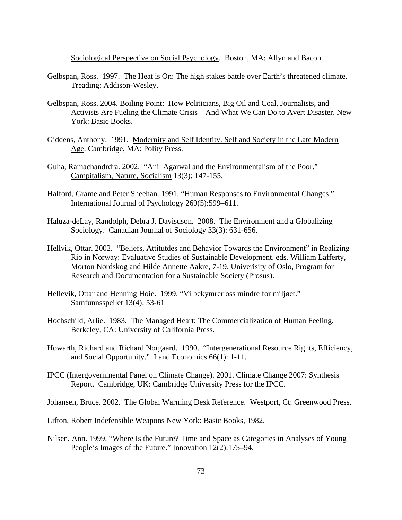Sociological Perspective on Social Psychology. Boston, MA: Allyn and Bacon.

- Gelbspan, Ross. 1997. The Heat is On: The high stakes battle over Earth's threatened climate. Treading: Addison-Wesley.
- Gelbspan, Ross. 2004. Boiling Point: How Politicians, Big Oil and Coal, Journalists, and Activists Are Fueling the Climate Crisis—And What We Can Do to Avert Disaster. New York: Basic Books.
- Giddens, Anthony. 1991. Modernity and Self Identity. Self and Society in the Late Modern Age. Cambridge, MA: Polity Press.
- Guha, Ramachandrdra. 2002. "Anil Agarwal and the Environmentalism of the Poor." Campitalism, Nature, Socialism 13(3): 147-155.
- Halford, Grame and Peter Sheehan. 1991. "Human Responses to Environmental Changes." International Journal of Psychology 269(5):599–611.
- Haluza-deLay, Randolph, Debra J. Davisdson. 2008. The Environment and a Globalizing Sociology. Canadian Journal of Sociology 33(3): 631-656.
- Hellvik, Ottar. 2002. "Beliefs, Attitutdes and Behavior Towards the Environment" in Realizing Rio in Norway: Evaluative Studies of Sustainable Development. eds. William Lafferty, Morton Nordskog and Hilde Annette Aakre, 7-19. Univerisity of Oslo, Program for Research and Documentation for a Sustainable Society (Prosus).
- Hellevik, Ottar and Henning Hoie. 1999. "Vi bekymrer oss mindre for miljøet." Samfunnsspeilet 13(4): 53-61
- Hochschild, Arlie. 1983. The Managed Heart: The Commercialization of Human Feeling. Berkeley, CA: University of California Press.
- Howarth, Richard and Richard Norgaard. 1990. "Intergenerational Resource Rights, Efficiency, and Social Opportunity." Land Economics 66(1): 1-11.
- IPCC (Intergovernmental Panel on Climate Change). 2001. Climate Change 2007: Synthesis Report. Cambridge, UK: Cambridge University Press for the IPCC.

Johansen, Bruce. 2002. The Global Warming Desk Reference. Westport, Ct: Greenwood Press.

Lifton, Robert Indefensible Weapons New York: Basic Books, 1982.

Nilsen, Ann. 1999. "Where Is the Future? Time and Space as Categories in Analyses of Young People's Images of the Future." Innovation 12(2):175–94.